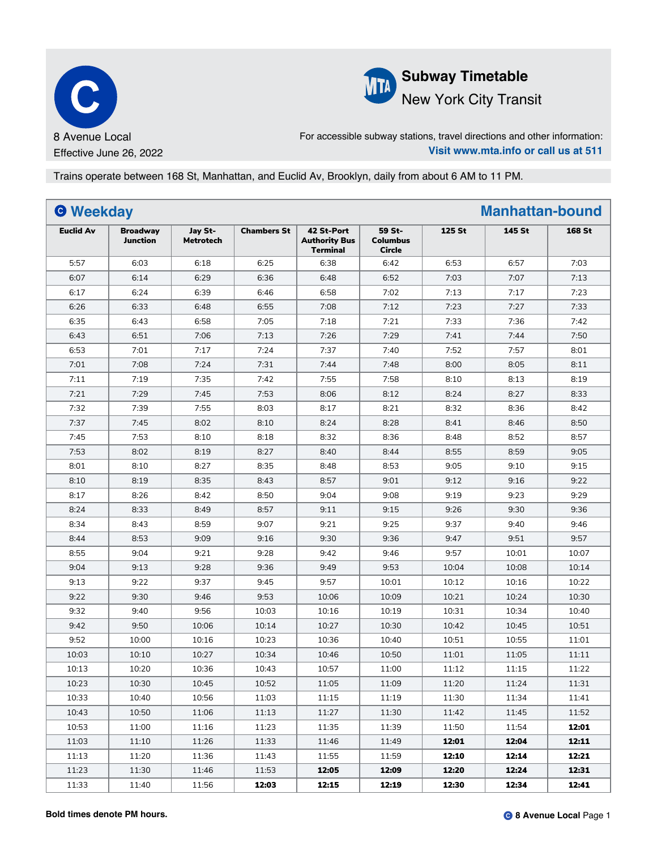



For accessible subway stations, travel directions and other information: **Visit www.mta.info or call us at 511**

Trains operate between 168 St, Manhattan, and Euclid Av, Brooklyn, daily from about 6 AM to 11 PM.

| <b>O</b> Weekday |                             |                             |                    |                                                       |                                            |        | <b>Manhattan-bound</b> |               |
|------------------|-----------------------------|-----------------------------|--------------------|-------------------------------------------------------|--------------------------------------------|--------|------------------------|---------------|
| <b>Euclid Av</b> | <b>Broadway</b><br>Junction | Jay St-<br><b>Metrotech</b> | <b>Chambers St</b> | 42 St-Port<br><b>Authority Bus</b><br><b>Terminal</b> | 59 St-<br><b>Columbus</b><br><b>Circle</b> | 125 St | 145 St                 | <b>168 St</b> |
| 5:57             | 6:03                        | 6:18                        | 6:25               | 6:38                                                  | 6:42                                       | 6:53   | 6:57                   | 7:03          |
| 6:07             | 6:14                        | 6:29                        | 6:36               | 6:48                                                  | 6:52                                       | 7:03   | 7:07                   | 7:13          |
| 6:17             | 6:24                        | 6:39                        | 6:46               | 6:58                                                  | 7:02                                       | 7:13   | 7:17                   | 7:23          |
| 6:26             | 6:33                        | 6:48                        | 6:55               | 7:08                                                  | 7:12                                       | 7:23   | 7:27                   | 7:33          |
| 6:35             | 6:43                        | 6:58                        | 7:05               | 7:18                                                  | 7:21                                       | 7:33   | 7:36                   | 7:42          |
| 6:43             | 6:51                        | 7:06                        | 7:13               | 7:26                                                  | 7:29                                       | 7:41   | 7:44                   | 7:50          |
| 6:53             | 7:01                        | 7:17                        | 7:24               | 7:37                                                  | 7:40                                       | 7:52   | 7:57                   | 8:01          |
| 7:01             | 7:08                        | 7:24                        | 7:31               | 7:44                                                  | 7:48                                       | 8:00   | 8:05                   | 8:11          |
| 7:11             | 7:19                        | 7:35                        | 7:42               | 7:55                                                  | 7:58                                       | 8:10   | 8:13                   | 8:19          |
| 7:21             | 7:29                        | 7:45                        | 7:53               | 8:06                                                  | 8:12                                       | 8:24   | 8:27                   | 8:33          |
| 7:32             | 7:39                        | 7:55                        | 8:03               | 8:17                                                  | 8:21                                       | 8:32   | 8:36                   | 8:42          |
| 7:37             | 7:45                        | 8:02                        | 8:10               | 8:24                                                  | 8:28                                       | 8:41   | 8:46                   | 8:50          |
| 7:45             | 7:53                        | 8:10                        | 8:18               | 8:32                                                  | 8:36                                       | 8:48   | 8:52                   | 8:57          |
| 7:53             | 8:02                        | 8:19                        | 8:27               | 8:40                                                  | 8:44                                       | 8:55   | 8:59                   | 9:05          |
| 8:01             | 8:10                        | 8:27                        | 8:35               | 8:48                                                  | 8:53                                       | 9:05   | 9:10                   | 9:15          |
| 8:10             | 8:19                        | 8:35                        | 8:43               | 8:57                                                  | 9:01                                       | 9:12   | 9:16                   | 9:22          |
| 8:17             | 8:26                        | 8:42                        | 8:50               | 9:04                                                  | 9:08                                       | 9:19   | 9:23                   | 9:29          |
| 8:24             | 8:33                        | 8:49                        | 8:57               | 9:11                                                  | 9:15                                       | 9:26   | 9:30                   | 9:36          |
| 8:34             | 8:43                        | 8:59                        | 9:07               | 9:21                                                  | 9:25                                       | 9:37   | 9:40                   | 9:46          |
| 8:44             | 8:53                        | 9:09                        | 9:16               | 9:30                                                  | 9:36                                       | 9:47   | 9:51                   | 9:57          |
| 8:55             | 9:04                        | 9:21                        | 9:28               | 9:42                                                  | 9:46                                       | 9:57   | 10:01                  | 10:07         |
| 9:04             | 9:13                        | 9:28                        | 9:36               | 9:49                                                  | 9:53                                       | 10:04  | 10:08                  | 10:14         |
| 9:13             | 9:22                        | 9:37                        | 9:45               | 9:57                                                  | 10:01                                      | 10:12  | 10:16                  | 10:22         |
| 9:22             | 9:30                        | 9:46                        | 9:53               | 10:06                                                 | 10:09                                      | 10:21  | 10:24                  | 10:30         |
| 9:32             | 9:40                        | 9:56                        | 10:03              | 10:16                                                 | 10:19                                      | 10:31  | 10:34                  | 10:40         |
| 9:42             | 9:50                        | 10:06                       | 10:14              | 10:27                                                 | 10:30                                      | 10:42  | 10:45                  | 10:51         |
| 9:52             | 10:00                       | 10:16                       | 10:23              | 10:36                                                 | 10:40                                      | 10:51  | 10:55                  | 11:01         |
| 10:03            | 10:10                       | 10:27                       | 10:34              | 10:46                                                 | 10:50                                      | 11:01  | 11:05                  | 11:11         |
| 10:13            | 10:20                       | 10:36                       | 10:43              | 10:57                                                 | 11:00                                      | 11:12  | 11:15                  | 11:22         |
| 10:23            | 10:30                       | 10:45                       | 10:52              | 11:05                                                 | 11:09                                      | 11:20  | 11:24                  | 11:31         |
| 10:33            | 10:40                       | 10:56                       | 11:03              | 11:15                                                 | 11:19                                      | 11:30  | 11:34                  | 11:41         |
| 10:43            | 10:50                       | 11:06                       | 11:13              | 11:27                                                 | 11:30                                      | 11:42  | 11:45                  | 11:52         |
| 10:53            | 11:00                       | 11:16                       | 11:23              | 11:35                                                 | 11:39                                      | 11:50  | 11:54                  | 12:01         |
| 11:03            | 11:10                       | 11:26                       | 11:33              | 11:46                                                 | 11:49                                      | 12:01  | 12:04                  | 12:11         |
| 11:13            | 11:20                       | 11:36                       | 11:43              | 11:55                                                 | 11:59                                      | 12:10  | 12:14                  | 12:21         |
| 11:23            | 11:30                       | 11:46                       | 11:53              | 12:05                                                 | 12:09                                      | 12:20  | 12:24                  | 12:31         |
| 11:33            | 11:40                       | 11:56                       | 12:03              | 12:15                                                 | 12:19                                      | 12:30  | 12:34                  | 12:41         |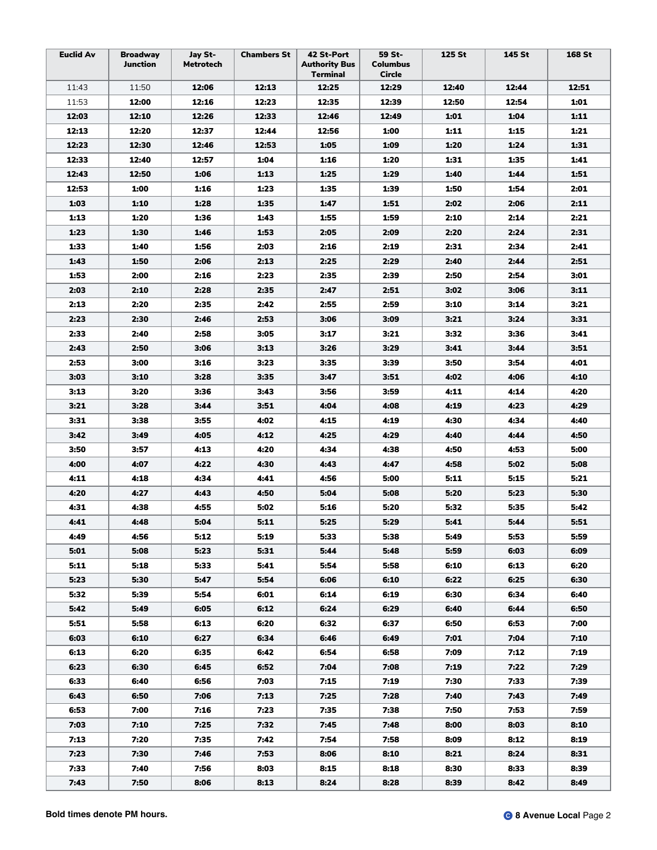| <b>Euclid Av</b> | <b>Broadway</b><br>Junction | Jay St-<br><b>Metrotech</b> | <b>Chambers St</b> | 42 St-Port<br><b>Authority Bus</b><br>Terminal | 59 St-<br><b>Columbus</b><br>Circle | 125 St | 145 St | 168 St |
|------------------|-----------------------------|-----------------------------|--------------------|------------------------------------------------|-------------------------------------|--------|--------|--------|
| 11:43            | 11:50                       | 12:06                       | 12:13              | 12:25                                          | 12:29                               | 12:40  | 12:44  | 12:51  |
| 11:53            | 12:00                       | 12:16                       | 12:23              | 12:35                                          | 12:39                               | 12:50  | 12:54  | 1:01   |
| 12:03            | 12:10                       | 12:26                       | 12:33              | 12:46                                          | 12:49                               | 1:01   | 1:04   | 1:11   |
| 12:13            | 12:20                       | 12:37                       | 12:44              | 12:56                                          | 1:00                                | 1:11   | 1:15   | 1:21   |
| 12:23            | 12:30                       | 12:46                       | 12:53              | 1:05                                           | 1:09                                | 1:20   | 1:24   | 1:31   |
| 12:33            | 12:40                       | 12:57                       | 1:04               | 1:16                                           | 1:20                                | 1:31   | 1:35   | 1:41   |
| 12:43            | 12:50                       | 1:06                        | 1:13               | 1:25                                           | 1:29                                | 1:40   | 1:44   | 1:51   |
| 12:53            | 1:00                        | 1:16                        | 1:23               | 1:35                                           | 1:39                                | 1:50   | 1:54   | 2:01   |
| 1:03             | 1:10                        | 1:28                        | 1:35               | 1:47                                           | 1:51                                | 2:02   | 2:06   | 2:11   |
| 1:13             | 1:20                        | 1:36                        | 1:43               | 1:55                                           | 1:59                                | 2:10   | 2:14   | 2:21   |
| 1:23             | 1:30                        | 1:46                        | 1:53               | 2:05                                           | 2:09                                | 2:20   | 2:24   | 2:31   |
| 1:33             | 1:40                        | 1:56                        | 2:03               | 2:16                                           | 2:19                                | 2:31   | 2:34   | 2:41   |
| 1:43             | 1:50                        | 2:06                        | 2:13               | 2:25                                           | 2:29                                | 2:40   | 2:44   | 2:51   |
| 1:53             | 2:00                        | 2:16                        | 2:23               | 2:35                                           | 2:39                                | 2:50   | 2:54   | 3:01   |
| 2:03             | 2:10                        | 2:28                        | 2:35               | 2:47                                           | 2:51                                | 3:02   | 3:06   | 3:11   |
| 2:13             | 2:20                        | 2:35                        | 2:42               | 2:55                                           | 2:59                                | 3:10   | 3:14   | 3:21   |
| 2:23             | 2:30                        | 2:46                        | 2:53               | 3:06                                           | 3:09                                | 3:21   | 3:24   | 3:31   |
| 2:33             | 2:40                        | 2:58                        | 3:05               | 3:17                                           | 3:21                                | 3:32   | 3:36   | 3:41   |
| 2:43             | 2:50                        | 3:06                        | 3:13               | 3:26                                           | 3:29                                | 3:41   | 3:44   | 3:51   |
| 2:53             | 3:00                        | 3:16                        | 3:23               | 3:35                                           | 3:39                                | 3:50   | 3:54   | 4:01   |
| 3:03             | 3:10                        | 3:28                        | 3:35               | 3:47                                           | 3:51                                | 4:02   | 4:06   | 4:10   |
| 3:13             | 3:20                        | 3:36                        | 3:43               | 3:56                                           | 3:59                                | 4:11   | 4:14   | 4:20   |
| 3:21             | 3:28                        | 3:44                        | 3:51               | 4:04                                           | 4:08                                | 4:19   | 4:23   | 4:29   |
| 3:31             | 3:38                        | 3:55                        | 4:02               | 4:15                                           | 4:19                                | 4:30   | 4:34   | 4:40   |
| 3:42             | 3:49                        | 4:05                        | 4:12               | 4:25                                           | 4:29                                | 4:40   | 4:44   | 4:50   |
| 3:50             | 3:57                        | 4:13                        | 4:20               | 4:34                                           | 4:38                                | 4:50   | 4:53   | 5:00   |
| 4:00             | 4:07                        | 4:22                        | 4:30               | 4:43                                           | 4:47                                | 4:58   | 5:02   | 5:08   |
| 4:11             | 4:18                        | 4:34                        | 4:41               | 4:56                                           | 5:00                                | 5:11   | 5:15   | 5:21   |
| 4:20             | 4:27                        | 4:43                        | 4:50               | 5:04                                           | 5:08                                | 5:20   | 5:23   | 5:30   |
| 4:31             | 4:38                        | 4:55                        | 5:02               | 5:16                                           | 5:20                                | 5:32   | 5:35   | 5:42   |
| 4:41             | 4:48                        | 5:04                        | 5:11               | 5:25                                           | 5:29                                | 5:41   | 5:44   | 5:51   |
| 4:49             | 4:56                        | 5:12                        | 5:19               | 5:33                                           | 5:38                                | 5:49   | 5:53   | 5:59   |
| 5:01             | 5:08                        | 5:23                        | 5:31               | 5:44                                           | 5:48                                | 5:59   | 6:03   | 6:09   |
| 5:11             | 5:18                        | 5:33                        | 5:41               | 5:54                                           | 5:58                                | 6:10   | 6:13   | 6:20   |
| 5:23             | 5:30                        | 5:47                        | 5:54               | 6:06                                           | 6:10                                | 6:22   | 6:25   | 6:30   |
| 5:32             | 5:39                        | 5:54                        | 6:01               | 6:14                                           | 6:19                                | 6:30   | 6:34   | 6:40   |
| 5:42             | 5:49                        | 6:05                        | 6:12               | 6:24                                           | 6:29                                | 6:40   | 6:44   | 6:50   |
| 5:51             | 5:58                        | 6:13                        | 6:20               | 6:32                                           | 6:37                                | 6:50   | 6:53   | 7:00   |
| 6:03             | 6:10                        | 6:27                        | 6:34               | 6:46                                           | 6:49                                | 7:01   | 7:04   | 7:10   |
| 6:13             | 6:20                        | 6:35                        | 6:42               | 6:54                                           | 6:58                                | 7:09   | 7:12   | 7:19   |
| 6:23             | 6:30                        | 6:45                        | 6:52               | 7:04                                           | 7:08                                | 7:19   | 7:22   | 7:29   |
| 6:33             | 6:40                        | 6:56                        | 7:03               | 7:15                                           | 7:19                                | 7:30   | 7:33   | 7:39   |
| 6:43             | 6:50                        | 7:06                        | 7:13               | 7:25                                           | 7:28                                | 7:40   | 7:43   | 7:49   |
| 6:53             | 7:00                        | 7:16                        | 7:23               | 7:35                                           | 7:38                                | 7:50   | 7:53   | 7:59   |
| 7:03             | 7:10                        | 7:25                        | 7:32               | 7:45                                           | 7:48                                | 8:00   | 8:03   | 8:10   |
| 7:13             | 7:20                        | 7:35                        | 7:42               | 7:54                                           | 7:58                                | 8:09   | 8:12   | 8:19   |
| 7:23             | 7:30                        | 7:46                        | 7:53               | 8:06                                           | 8:10                                | 8:21   | 8:24   | 8:31   |
| 7:33             | 7:40                        | 7:56                        | 8:03               | 8:15                                           | 8:18                                | 8:30   | 8:33   | 8:39   |
| 7:43             | 7:50                        | 8:06                        | 8:13               | 8:24                                           | 8:28                                | 8:39   | 8:42   | 8:49   |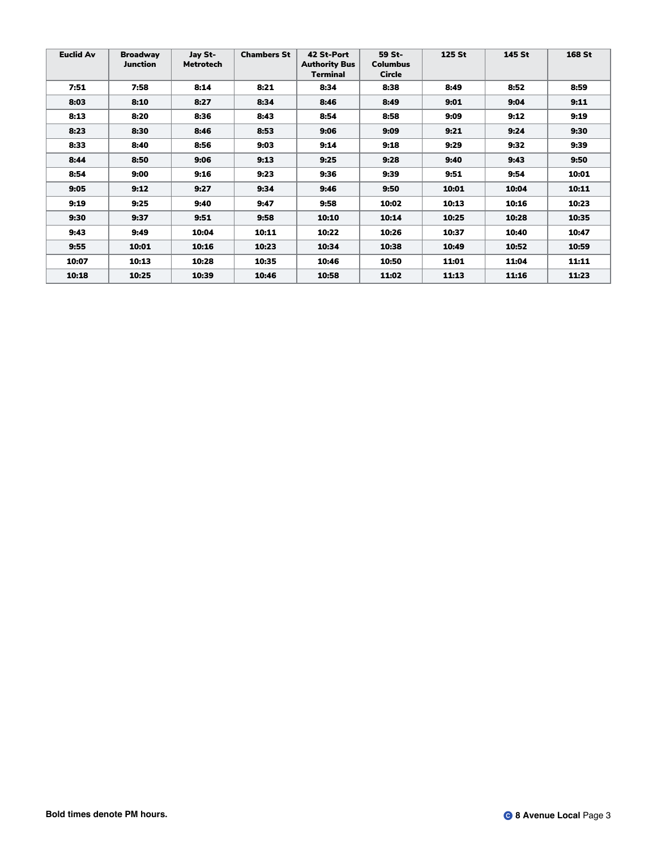| <b>Euclid Av</b> | <b>Broadway</b><br><b>Junction</b> | Jay St-<br><b>Metrotech</b> | <b>Chambers St</b> | 42 St-Port<br><b>Authority Bus</b><br><b>Terminal</b> | 59 St-<br><b>Columbus</b><br><b>Circle</b> | 125 St | <b>145 St</b> | <b>168 St</b> |
|------------------|------------------------------------|-----------------------------|--------------------|-------------------------------------------------------|--------------------------------------------|--------|---------------|---------------|
| 7:51             | 7:58                               | 8:14                        | 8:21               | 8:34                                                  | 8:38                                       | 8:49   | 8:52          | 8:59          |
| 8:03             | 8:10                               | 8:27                        | 8:34               | 8:46                                                  | 8:49                                       | 9:01   | 9:04          | 9:11          |
| 8:13             | 8:20                               | 8:36                        | 8:43               | 8:54                                                  | 8:58                                       | 9:09   | 9:12          | 9:19          |
| 8:23             | 8:30                               | 8:46                        | 8:53               | 9:06                                                  | 9:09                                       | 9:21   | 9:24          | 9:30          |
| 8:33             | 8:40                               | 8:56                        | 9:03               | 9:14                                                  | 9:18                                       | 9:29   | 9:32          | 9:39          |
| 8:44             | 8:50                               | 9:06                        | 9:13               | 9:25                                                  | 9:28                                       | 9:40   | 9:43          | 9:50          |
| 8:54             | 9:00                               | 9:16                        | 9:23               | 9:36                                                  | 9:39                                       | 9:51   | 9:54          | 10:01         |
| 9:05             | 9:12                               | 9:27                        | 9:34               | 9:46                                                  | 9:50                                       | 10:01  | 10:04         | 10:11         |
| 9:19             | 9:25                               | 9:40                        | 9:47               | 9:58                                                  | 10:02                                      | 10:13  | 10:16         | 10:23         |
| 9:30             | 9:37                               | 9:51                        | 9:58               | 10:10                                                 | 10:14                                      | 10:25  | 10:28         | 10:35         |
| 9:43             | 9:49                               | 10:04                       | 10:11              | 10:22                                                 | 10:26                                      | 10:37  | 10:40         | 10:47         |
| 9:55             | 10:01                              | 10:16                       | 10:23              | 10:34                                                 | 10:38                                      | 10:49  | 10:52         | 10:59         |
| 10:07            | 10:13                              | 10:28                       | 10:35              | 10:46                                                 | 10:50                                      | 11:01  | 11:04         | 11:11         |
| 10:18            | 10:25                              | 10:39                       | 10:46              | 10:58                                                 | 11:02                                      | 11:13  | 11:16         | 11:23         |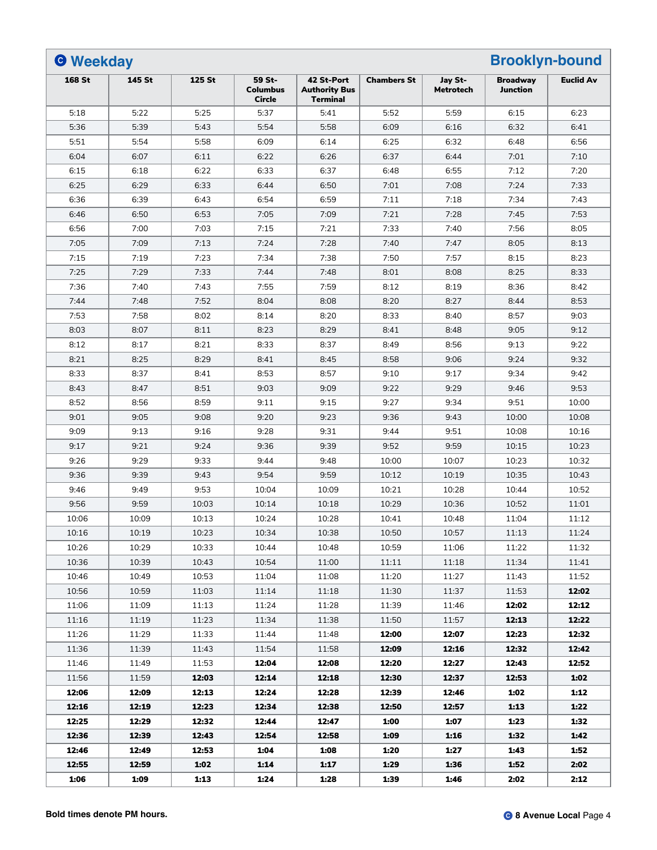| <b>O</b> Weekday |        |        |                                     |                                                       |                    |                             | <b>Brooklyn-bound</b>              |                  |
|------------------|--------|--------|-------------------------------------|-------------------------------------------------------|--------------------|-----------------------------|------------------------------------|------------------|
| <b>168 St</b>    | 145 St | 125 St | 59 St-<br><b>Columbus</b><br>Circle | 42 St-Port<br><b>Authority Bus</b><br><b>Terminal</b> | <b>Chambers St</b> | Jay St-<br><b>Metrotech</b> | <b>Broadway</b><br><b>Junction</b> | <b>Euclid Av</b> |
| 5:18             | 5:22   | 5:25   | 5:37                                | 5:41                                                  | 5:52               | 5:59                        | 6:15                               | 6:23             |
| 5:36             | 5:39   | 5:43   | 5:54                                | 5:58                                                  | 6:09               | 6:16                        | 6:32                               | 6:41             |
| 5:51             | 5:54   | 5:58   | 6:09                                | 6:14                                                  | 6:25               | 6:32                        | 6:48                               | 6:56             |
| 6:04             | 6:07   | 6:11   | 6:22                                | 6:26                                                  | 6:37               | 6:44                        | 7:01                               | 7:10             |
| 6:15             | 6:18   | 6:22   | 6:33                                | 6:37                                                  | 6:48               | 6:55                        | 7:12                               | 7:20             |
| 6:25             | 6:29   | 6:33   | 6:44                                | 6:50                                                  | 7:01               | 7:08                        | 7:24                               | 7:33             |
| 6:36             | 6:39   | 6:43   | 6:54                                | 6:59                                                  | 7:11               | 7:18                        | 7:34                               | 7:43             |
| 6:46             | 6:50   | 6:53   | 7:05                                | 7:09                                                  | 7:21               | 7:28                        | 7:45                               | 7:53             |
| 6:56             | 7:00   | 7:03   | 7:15                                | 7:21                                                  | 7:33               | 7:40                        | 7:56                               | 8:05             |
| 7:05             | 7:09   | 7:13   | 7:24                                | 7:28                                                  | 7:40               | 7:47                        | 8:05                               | 8:13             |
| 7:15             | 7:19   | 7:23   | 7:34                                | 7:38                                                  | 7:50               | 7:57                        | 8:15                               | 8:23             |
| 7:25             | 7:29   | 7:33   | 7:44                                | 7:48                                                  | 8:01               | 8:08                        | 8:25                               | 8:33             |
| 7:36             | 7:40   | 7:43   | 7:55                                | 7:59                                                  | 8:12               | 8:19                        | 8:36                               | 8:42             |
| 7:44             | 7:48   | 7:52   | 8:04                                | 8:08                                                  | 8:20               | 8:27                        | 8:44                               | 8:53             |
| 7:53             | 7:58   | 8:02   | 8:14                                | 8:20                                                  | 8:33               | 8:40                        | 8:57                               | 9:03             |
| 8:03             | 8:07   | 8:11   | 8:23                                | 8:29                                                  | 8:41               | 8:48                        | 9:05                               | 9:12             |
| 8:12             | 8:17   | 8:21   | 8:33                                | 8:37                                                  | 8:49               | 8:56                        | 9:13                               | 9:22             |
| 8:21             | 8:25   | 8:29   | 8:41                                | 8:45                                                  | 8:58               | 9:06                        | 9:24                               | 9:32             |
| 8:33             | 8:37   | 8:41   | 8:53                                | 8:57                                                  | 9:10               | 9:17                        | 9:34                               | 9:42             |
| 8:43             | 8:47   | 8:51   | 9:03                                | 9:09                                                  | 9:22               | 9:29                        | 9:46                               | 9:53             |
| 8:52             | 8:56   | 8:59   | 9:11                                | 9:15                                                  | 9:27               | 9:34                        | 9:51                               | 10:00            |
| 9:01             | 9:05   | 9:08   | 9:20                                | 9:23                                                  | 9:36               | 9:43                        | 10:00                              | 10:08            |
| 9:09             | 9:13   | 9:16   | 9:28                                | 9:31                                                  | 9:44               | 9:51                        | 10:08                              | 10:16            |
| 9:17             | 9:21   | 9:24   | 9:36                                | 9:39                                                  | 9:52               | 9:59                        | 10:15                              | 10:23            |
| 9:26             | 9:29   | 9:33   | 9:44                                | 9:48                                                  | 10:00              | 10:07                       | 10:23                              | 10:32            |
| 9:36             | 9:39   | 9:43   | 9:54                                | 9:59                                                  | 10:12              | 10:19                       | 10:35                              | 10:43            |
| 9:46             | 9:49   | 9:53   | 10:04                               | 10:09                                                 | 10:21              | 10:28                       | 10:44                              | 10:52            |
| 9:56             | 9:59   | 10:03  | 10:14                               | 10:18                                                 | 10:29              | 10:36                       | 10:52                              | 11:01            |
| 10:06            | 10:09  | 10:13  | 10:24                               | 10:28                                                 | 10:41              | 10:48                       | 11:04                              | 11:12            |
| 10:16            | 10:19  | 10:23  | 10:34                               | 10:38                                                 | 10:50              | 10:57                       | 11:13                              | 11:24            |
| 10:26            | 10:29  | 10:33  | 10:44                               | 10:48                                                 | 10:59              | 11:06                       | 11:22                              | 11:32            |
| 10:36            | 10:39  | 10:43  | 10:54                               | 11:00                                                 | 11:11              | 11:18                       | 11:34                              | 11:41            |
| 10:46            | 10:49  | 10:53  | 11:04                               | 11:08                                                 | 11:20              | 11:27                       | 11:43                              | 11:52            |
| 10:56            | 10:59  | 11:03  | 11:14                               | 11:18                                                 | 11:30              | 11:37                       | 11:53                              | 12:02            |
| 11:06            | 11:09  | 11:13  | 11:24                               | 11:28                                                 | 11:39              | 11:46                       | 12:02                              | 12:12            |
| 11:16            | 11:19  | 11:23  | 11:34                               | 11:38                                                 | 11:50              | 11:57                       | 12:13                              | 12:22            |
| 11:26            | 11:29  | 11:33  | 11:44                               | 11:48                                                 | 12:00              | 12:07                       | 12:23                              | 12:32            |
| 11:36            | 11:39  | 11:43  | 11:54                               | 11:58                                                 | 12:09              | 12:16                       | 12:32                              | 12:42            |
| 11:46            | 11:49  | 11:53  | 12:04                               | 12:08                                                 | 12:20              | 12:27                       | 12:43                              | 12:52            |
| 11:56            | 11:59  | 12:03  | 12:14                               | 12:18                                                 | 12:30              | 12:37                       | 12:53                              | 1:02             |
| 12:06            | 12:09  | 12:13  | 12:24                               | 12:28                                                 | 12:39              | 12:46                       | 1:02                               | 1:12             |
| 12:16            | 12:19  | 12:23  | 12:34                               | 12:38                                                 | 12:50              | 12:57                       | 1:13                               | 1:22             |
| 12:25            | 12:29  | 12:32  | 12:44                               | 12:47                                                 | 1:00               | 1:07                        | 1:23                               | 1:32             |
| 12:36            | 12:39  | 12:43  | 12:54                               | 12:58                                                 | 1:09               | 1:16                        | 1:32                               | 1:42             |
| 12:46            | 12:49  | 12:53  | 1:04                                | 1:08                                                  | 1:20               | 1:27                        | 1:43                               | 1:52             |
| 12:55            | 12:59  | 1:02   | 1:14                                | 1:17                                                  | 1:29               | 1:36                        | 1:52                               | 2:02             |
| 1:06             | 1:09   | 1:13   | 1:24                                | 1:28                                                  | 1:39               | 1:46                        | 2:02                               | 2:12             |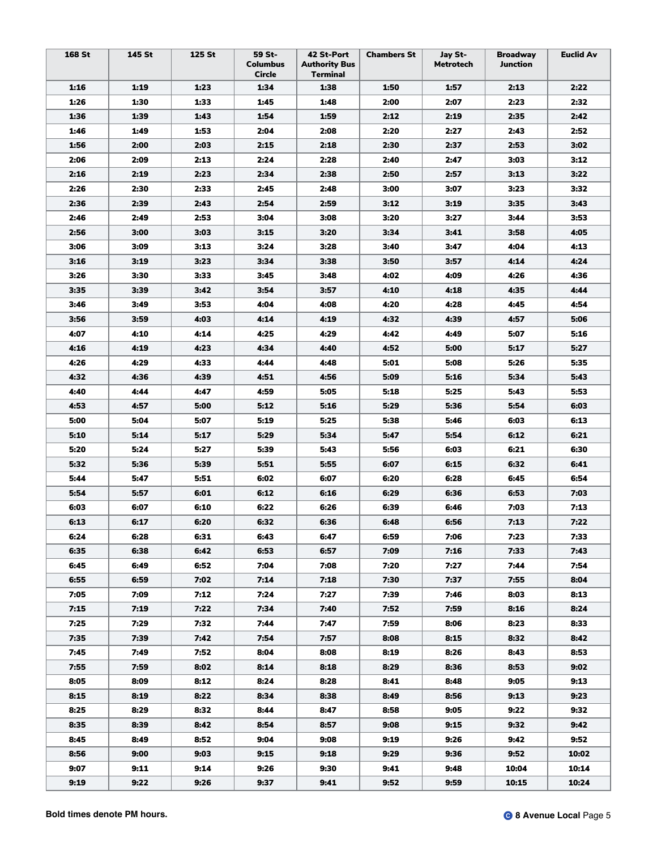| 168 St | 145 St | 125 St | 59 St-<br><b>Columbus</b><br>Circle | 42 St-Port<br><b>Authority Bus</b><br>Terminal | <b>Chambers St</b> | Jay St-<br>Metrotech | <b>Broadway</b><br>Junction | <b>Euclid Av</b> |
|--------|--------|--------|-------------------------------------|------------------------------------------------|--------------------|----------------------|-----------------------------|------------------|
| 1:16   | 1:19   | 1:23   | 1:34                                | 1:38                                           | 1:50               | 1:57                 | 2:13                        | 2:22             |
| 1:26   | 1:30   | 1:33   | 1:45                                | 1:48                                           | 2:00               | 2:07                 | 2:23                        | 2:32             |
| 1:36   | 1:39   | 1:43   | 1:54                                | 1:59                                           | 2:12               | 2:19                 | 2:35                        | 2:42             |
| 1:46   | 1:49   | 1:53   | 2:04                                | 2:08                                           | 2:20               | 2:27                 | 2:43                        | 2:52             |
| 1:56   | 2:00   | 2:03   | 2:15                                | 2:18                                           | 2:30               | 2:37                 | 2:53                        | 3:02             |
| 2:06   | 2:09   | 2:13   | 2:24                                | 2:28                                           | 2:40               | 2:47                 | 3:03                        | 3:12             |
| 2:16   | 2:19   | 2:23   | 2:34                                | 2:38                                           | 2:50               | 2:57                 | 3:13                        | 3:22             |
| 2:26   | 2:30   | 2:33   | 2:45                                | 2:48                                           | 3:00               | 3:07                 | 3:23                        | 3:32             |
| 2:36   | 2:39   | 2:43   | 2:54                                | 2:59                                           | 3:12               | 3:19                 | 3:35                        | 3:43             |
| 2:46   | 2:49   | 2:53   | 3:04                                | 3:08                                           | 3:20               | 3:27                 | 3:44                        | 3:53             |
| 2:56   | 3:00   | 3:03   | 3:15                                | 3:20                                           | 3:34               | 3:41                 | 3:58                        | 4:05             |
| 3:06   | 3:09   | 3:13   | 3:24                                | 3:28                                           | 3:40               | 3:47                 | 4:04                        | 4:13             |
| 3:16   | 3:19   | 3:23   | 3:34                                | 3:38                                           | 3:50               | 3:57                 | 4:14                        | 4:24             |
| 3:26   | 3:30   | 3:33   | 3:45                                | 3:48                                           | 4:02               | 4:09                 | 4:26                        | 4:36             |
| 3:35   | 3:39   | 3:42   | 3:54                                | 3:57                                           | 4:10               | 4:18                 | 4:35                        | 4:44             |
| 3:46   | 3:49   | 3:53   | 4:04                                | 4:08                                           | 4:20               | 4:28                 | 4:45                        | 4:54             |
| 3:56   | 3:59   | 4:03   | 4:14                                | 4:19                                           | 4:32               | 4:39                 | 4:57                        | 5:06             |
| 4:07   | 4:10   | 4:14   | 4:25                                | 4:29                                           | 4:42               | 4:49                 | 5:07                        | 5:16             |
| 4:16   | 4:19   | 4:23   | 4:34                                | 4:40                                           | 4:52               | 5:00                 | 5:17                        | 5:27             |
| 4:26   | 4:29   | 4:33   | 4:44                                | 4:48                                           | 5:01               | 5:08                 | 5:26                        | 5:35             |
| 4:32   | 4:36   | 4:39   | 4:51                                | 4:56                                           | 5:09               | 5:16                 | 5:34                        | 5:43             |
| 4:40   | 4:44   | 4:47   | 4:59                                | 5:05                                           | 5:18               | 5:25                 | 5:43                        | 5:53             |
| 4:53   | 4:57   | 5:00   | 5:12                                | 5:16                                           | 5:29               | 5:36                 | 5:54                        | 6:03             |
| 5:00   | 5:04   | 5:07   | 5:19                                | 5:25                                           | 5:38               | 5:46                 | 6:03                        | 6:13             |
| 5:10   | 5:14   | 5:17   | 5:29                                | 5:34                                           | 5:47               | 5:54                 | 6:12                        | 6:21             |
| 5:20   | 5:24   | 5:27   | 5:39                                | 5:43                                           | 5:56               | 6:03                 | 6:21                        | 6:30             |
| 5:32   | 5:36   | 5:39   | 5:51                                | 5:55                                           | 6:07               | 6:15                 | 6:32                        | 6:41             |
| 5:44   | 5:47   | 5:51   | 6:02                                | 6:07                                           | 6:20               | 6:28                 | 6:45                        | 6:54             |
| 5:54   | 5:57   | 6:01   | 6:12                                | 6:16                                           | 6:29               | 6:36                 | 6:53                        | 7:03             |
| 6:03   | 6:07   | 6:10   | 6:22                                | 6:26                                           | 6:39               | 6:46                 | 7:03                        | 7:13             |
| 6:13   | 6:17   | 6:20   | 6:32                                | 6:36                                           | 6:48               | 6:56                 | 7:13                        | 7:22             |
| 6:24   | 6:28   | 6:31   | 6:43                                | 6:47                                           | 6:59               | 7:06                 | 7:23                        | 7:33             |
| 6:35   | 6:38   | 6:42   | 6:53                                | 6:57                                           | 7:09               | 7:16                 | 7:33                        | 7:43             |
| 6:45   | 6:49   | 6:52   | 7:04                                | 7:08                                           | 7:20               | 7:27                 | 7:44                        | 7:54             |
| 6:55   | 6:59   | 7:02   | 7:14                                | 7:18                                           | 7:30               | 7:37                 | 7:55                        | 8:04             |
| 7:05   | 7:09   | 7:12   | 7:24                                | 7:27                                           | 7:39               | 7:46                 | 8:03                        | 8:13             |
| 7:15   | 7:19   | 7:22   | 7:34                                | 7:40                                           | 7:52               | 7:59                 | 8:16                        | 8:24             |
| 7:25   | 7:29   | 7:32   | 7:44                                | 7:47                                           | 7:59               | 8:06                 | 8:23                        | 8:33             |
| 7:35   | 7:39   | 7:42   | 7:54                                | 7:57                                           | 8:08               | 8:15                 | 8:32                        | 8:42             |
| 7:45   | 7:49   | 7:52   | 8:04                                | 8:08                                           | 8:19               | 8:26                 | 8:43                        | 8:53             |
| 7:55   | 7:59   | 8:02   | 8:14                                | 8:18                                           | 8:29               | 8:36                 | 8:53                        | 9:02             |
| 8:05   | 8:09   | 8:12   | 8:24                                | 8:28                                           | 8:41               | 8:48                 | 9:05                        | 9:13             |
| 8:15   | 8:19   | 8:22   | 8:34                                | 8:38                                           | 8:49               | 8:56                 | 9:13                        | 9:23             |
| 8:25   | 8:29   | 8:32   | 8:44                                | 8:47                                           | 8:58               | 9:05                 | 9:22                        | 9:32             |
| 8:35   | 8:39   | 8:42   | 8:54                                | 8:57                                           | 9:08               | 9:15                 | 9:32                        | 9:42             |
| 8:45   | 8:49   | 8:52   | 9:04                                | 9:08                                           | 9:19               | 9:26                 | 9:42                        | 9:52             |
| 8:56   | 9:00   | 9:03   | 9:15                                | 9:18                                           | 9:29               | 9:36                 | 9:52                        | 10:02            |
| 9:07   | 9:11   | 9:14   | 9:26                                | 9:30                                           | 9:41               | 9:48                 | 10:04                       | 10:14            |
| 9:19   | 9:22   | 9:26   | 9:37                                | 9:41                                           | 9:52               | 9:59                 | 10:15                       | 10:24            |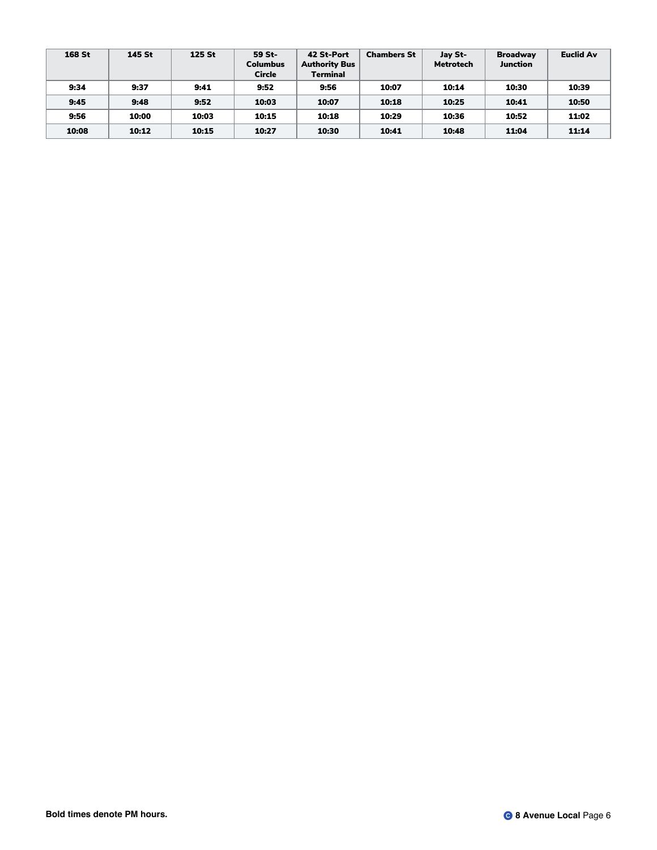| 168 St | 145 St | 125 St | 59 St-<br><b>Columbus</b><br><b>Circle</b> | 42 St-Port<br><b>Authority Bus</b><br><b>Terminal</b> | <b>Chambers St</b> | Jay St-<br><b>Metrotech</b> | <b>Broadway</b><br><b>Junction</b> | <b>Euclid Av</b> |
|--------|--------|--------|--------------------------------------------|-------------------------------------------------------|--------------------|-----------------------------|------------------------------------|------------------|
| 9:34   | 9:37   | 9:41   | 9:52                                       | 9:56                                                  | 10:07              | 10:14                       | 10:30                              | 10:39            |
| 9:45   | 9:48   | 9:52   | 10:03                                      | 10:07                                                 | 10:18              | 10:25                       | 10:41                              | 10:50            |
| 9:56   | 10:00  | 10:03  | 10:15                                      | 10:18                                                 | 10:29              | 10:36                       | 10:52                              | 11:02            |
| 10:08  | 10:12  | 10:15  | 10:27                                      | 10:30                                                 | 10:41              | 10:48                       | 11:04                              | 11:14            |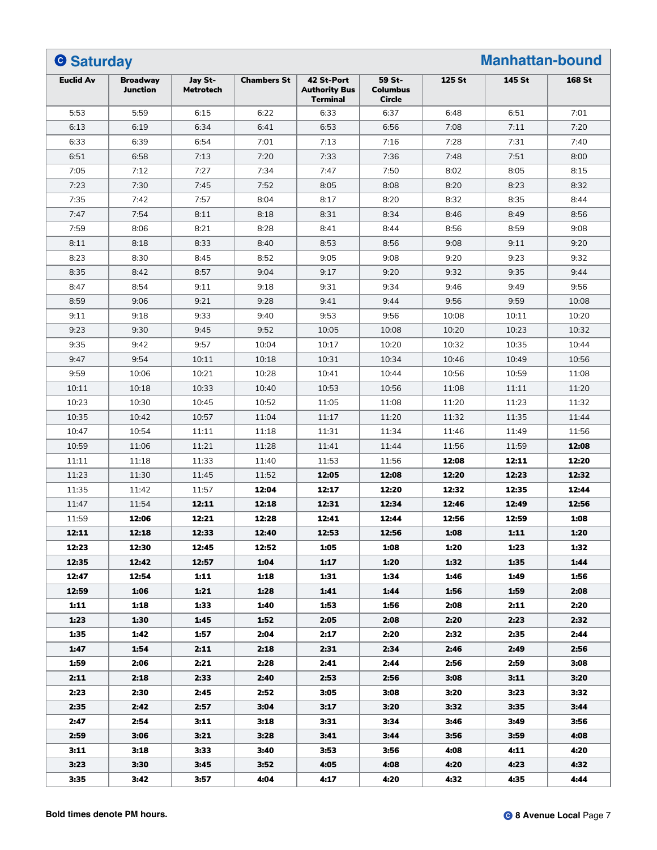| <b>O</b> Saturday |                             |                             |                    |                                                       |                                     |        | <b>Manhattan-bound</b> |        |
|-------------------|-----------------------------|-----------------------------|--------------------|-------------------------------------------------------|-------------------------------------|--------|------------------------|--------|
| <b>Euclid Av</b>  | <b>Broadway</b><br>Junction | Jay St-<br><b>Metrotech</b> | <b>Chambers St</b> | 42 St-Port<br><b>Authority Bus</b><br><b>Terminal</b> | 59 St-<br><b>Columbus</b><br>Circle | 125 St | 145 St                 | 168 St |
| 5:53              | 5:59                        | 6:15                        | 6:22               | 6:33                                                  | 6:37                                | 6:48   | 6:51                   | 7:01   |
| 6:13              | 6:19                        | 6:34                        | 6:41               | 6:53                                                  | 6:56                                | 7:08   | 7:11                   | 7:20   |
| 6:33              | 6:39                        | 6:54                        | 7:01               | 7:13                                                  | 7:16                                | 7:28   | 7:31                   | 7:40   |
| 6:51              | 6:58                        | 7:13                        | 7:20               | 7:33                                                  | 7:36                                | 7:48   | 7:51                   | 8:00   |
| 7:05              | 7:12                        | 7:27                        | 7:34               | 7:47                                                  | 7:50                                | 8:02   | 8:05                   | 8:15   |
| 7:23              | 7:30                        | 7:45                        | 7:52               | 8:05                                                  | 8:08                                | 8:20   | 8:23                   | 8:32   |
| 7:35              | 7:42                        | 7:57                        | 8:04               | 8:17                                                  | 8:20                                | 8:32   | 8:35                   | 8:44   |
| 7:47              | 7:54                        | 8:11                        | 8:18               | 8:31                                                  | 8:34                                | 8:46   | 8:49                   | 8:56   |
| 7:59              | 8:06                        | 8:21                        | 8:28               | 8:41                                                  | 8:44                                | 8:56   | 8:59                   | 9:08   |
| 8:11              | 8:18                        | 8:33                        | 8:40               | 8:53                                                  | 8:56                                | 9:08   | 9:11                   | 9:20   |
| 8:23              | 8:30                        | 8:45                        | 8:52               | 9:05                                                  | 9:08                                | 9:20   | 9:23                   | 9:32   |
| 8:35              | 8:42                        | 8:57                        | 9:04               | 9:17                                                  | 9:20                                | 9:32   | 9:35                   | 9:44   |
| 8:47              | 8:54                        | 9:11                        | 9:18               | 9:31                                                  | 9:34                                | 9:46   | 9:49                   | 9:56   |
| 8:59              | 9:06                        | 9:21                        | 9:28               | 9:41                                                  | 9:44                                | 9:56   | 9:59                   | 10:08  |
| 9:11              | 9:18                        | 9:33                        | 9:40               | 9:53                                                  | 9:56                                | 10:08  | 10:11                  | 10:20  |
| 9:23              | 9:30                        | 9:45                        | 9:52               | 10:05                                                 | 10:08                               | 10:20  | 10:23                  | 10:32  |
| 9:35              | 9:42                        | 9:57                        | 10:04              | 10:17                                                 | 10:20                               | 10:32  | 10:35                  | 10:44  |
| 9:47              | 9:54                        | 10:11                       | 10:18              | 10:31                                                 | 10:34                               | 10:46  | 10:49                  | 10:56  |
| 9:59              | 10:06                       | 10:21                       | 10:28              | 10:41                                                 | 10:44                               | 10:56  | 10:59                  | 11:08  |
| 10:11             | 10:18                       | 10:33                       | 10:40              | 10:53                                                 | 10:56                               | 11:08  | 11:11                  | 11:20  |
| 10:23             | 10:30                       | 10:45                       | 10:52              | 11:05                                                 | 11:08                               | 11:20  | 11:23                  | 11:32  |
| 10:35             | 10:42                       | 10:57                       | 11:04              | 11:17                                                 | 11:20                               | 11:32  | 11:35                  | 11:44  |
| 10:47             | 10:54                       | 11:11                       | 11:18              | 11:31                                                 | 11:34                               | 11:46  | 11:49                  | 11:56  |
| 10:59             | 11:06                       | 11:21                       | 11:28              | 11:41                                                 | 11:44                               | 11:56  | 11:59                  | 12:08  |
| 11:11             | 11:18                       | 11:33                       | 11:40              | 11:53                                                 | 11:56                               | 12:08  | 12:11                  | 12:20  |
| 11:23             | 11:30                       | 11:45                       | 11:52              | 12:05                                                 | 12:08                               | 12:20  | 12:23                  | 12:32  |
| 11:35             | 11:42                       | 11:57                       | 12:04              | 12:17                                                 | 12:20                               | 12:32  | 12:35                  | 12:44  |
| 11:47             | 11:54                       | 12:11                       | 12:18              | 12:31                                                 | 12:34                               | 12:46  | 12:49                  | 12:56  |
| 11:59             | 12:06                       | 12:21                       | 12:28              | 12:41                                                 | 12:44                               | 12:56  | 12:59                  | 1:08   |
| 12:11             | 12:18                       | 12:33                       | 12:40              | 12:53                                                 | 12:56                               | 1:08   | 1:11                   | 1:20   |
| 12:23             | 12:30                       | 12:45                       | 12:52              | 1:05                                                  | 1:08                                | 1:20   | 1:23                   | 1:32   |
| 12:35             | 12:42                       | 12:57                       | 1:04               | 1:17                                                  | 1:20                                | 1:32   | 1:35                   | 1:44   |
| 12:47             | 12:54                       | 1:11                        | 1:18               | 1:31                                                  | 1:34                                | 1:46   | 1:49                   | 1:56   |
| 12:59             | 1:06                        | 1:21                        | 1:28               | 1:41                                                  | 1:44                                | 1:56   | 1:59                   | 2:08   |
| 1:11              | 1:18                        | 1:33                        | 1:40               | 1:53                                                  | 1:56                                | 2:08   | 2:11                   | 2:20   |
| 1:23              | 1:30                        | 1:45                        | 1:52               | 2:05                                                  | 2:08                                | 2:20   | 2:23                   | 2:32   |
| 1:35              | 1:42                        | 1:57                        | 2:04               | 2:17                                                  | 2:20                                | 2:32   | 2:35                   | 2:44   |
| 1:47              | 1:54                        | 2:11                        | 2:18               | 2:31                                                  | 2:34                                | 2:46   | 2:49                   | 2:56   |
| 1:59              | 2:06                        | 2:21                        | 2:28               | 2:41                                                  | 2:44                                | 2:56   | 2:59                   | 3:08   |
| 2:11              | 2:18                        | 2:33                        | 2:40               | 2:53                                                  | 2:56                                | 3:08   | 3:11                   | 3:20   |
|                   | 2:30                        |                             | 2:52               | 3:05                                                  | 3:08                                |        |                        | 3:32   |
| 2:23              |                             | 2:45                        |                    |                                                       |                                     | 3:20   | 3:23                   |        |
| 2:35              | 2:42                        | 2:57                        | 3:04               | 3:17                                                  | 3:20                                | 3:32   | 3:35                   | 3:44   |
| 2:47              | 2:54                        | 3:11                        | 3:18               | 3:31                                                  | 3:34                                | 3:46   | 3:49                   | 3:56   |
| 2:59              | 3:06                        | 3:21                        | 3:28               | 3:41                                                  | 3:44                                | 3:56   | 3:59                   | 4:08   |
| 3:11              | 3:18                        | 3:33                        | 3:40               | 3:53                                                  | 3:56                                | 4:08   | 4:11                   | 4:20   |
| 3:23              | 3:30                        | 3:45                        | 3:52               | 4:05                                                  | 4:08                                | 4:20   | 4:23                   | 4:32   |
| 3:35              | 3:42                        | 3:57                        | 4:04               | 4:17                                                  | 4:20                                | 4:32   | 4:35                   | 4:44   |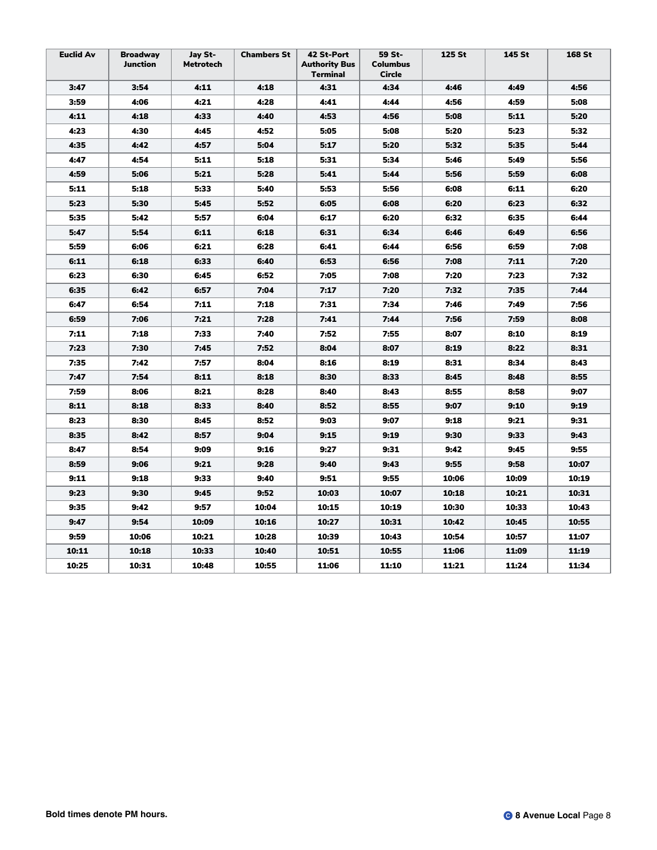| <b>Euclid Av</b> | <b>Broadway</b><br>Junction | Jay St-<br><b>Metrotech</b> | <b>Chambers St</b> | 42 St-Port<br><b>Authority Bus</b><br>Terminal | 59 St-<br><b>Columbus</b><br>Circle | 125 St | 145 St | 168 St |
|------------------|-----------------------------|-----------------------------|--------------------|------------------------------------------------|-------------------------------------|--------|--------|--------|
| 3:47             | 3:54                        | 4:11                        | 4:18               | 4:31                                           | 4:34                                | 4:46   | 4:49   | 4:56   |
| 3:59             | 4:06                        | 4:21                        | 4:28               | 4:41                                           | 4:44                                | 4:56   | 4:59   | 5:08   |
| 4:11             | 4:18                        | 4:33                        | 4:40               | 4:53                                           | 4:56                                | 5:08   | 5:11   | 5:20   |
| 4:23             | 4:30                        | 4:45                        | 4:52               | 5:05                                           | 5:08                                | 5:20   | 5:23   | 5:32   |
| 4:35             | 4:42                        | 4:57                        | 5:04               | 5:17                                           | 5:20                                | 5:32   | 5:35   | 5:44   |
| 4:47             | 4:54                        | 5:11                        | 5:18               | 5:31                                           | 5:34                                | 5:46   | 5:49   | 5:56   |
| 4:59             | 5:06                        | 5:21                        | 5:28               | 5:41                                           | 5:44                                | 5:56   | 5:59   | 6:08   |
| 5:11             | 5:18                        | 5:33                        | 5:40               | 5:53                                           | 5:56                                | 6:08   | 6:11   | 6:20   |
| 5:23             | 5:30                        | 5:45                        | 5:52               | 6:05                                           | 6:08                                | 6:20   | 6:23   | 6:32   |
| 5:35             | 5:42                        | 5:57                        | 6:04               | 6:17                                           | 6:20                                | 6:32   | 6:35   | 6:44   |
| 5:47             | 5:54                        | 6:11                        | 6:18               | 6:31                                           | 6:34                                | 6:46   | 6:49   | 6:56   |
| 5:59             | 6:06                        | 6:21                        | 6:28               | 6:41                                           | 6:44                                | 6:56   | 6:59   | 7:08   |
| 6:11             | 6:18                        | 6:33                        | 6:40               | 6:53                                           | 6:56                                | 7:08   | 7:11   | 7:20   |
| 6:23             | 6:30                        | 6:45                        | 6:52               | 7:05                                           | 7:08                                | 7:20   | 7:23   | 7:32   |
| 6:35             | 6:42                        | 6:57                        | 7:04               | 7:17                                           | 7:20                                | 7:32   | 7:35   | 7:44   |
| 6:47             | 6:54                        | 7:11                        | 7:18               | 7:31                                           | 7:34                                | 7:46   | 7:49   | 7:56   |
| 6:59             | 7:06                        | 7:21                        | 7:28               | 7:41                                           | 7:44                                | 7:56   | 7:59   | 8:08   |
| 7:11             | 7:18                        | 7:33                        | 7:40               | 7:52                                           | 7:55                                | 8:07   | 8:10   | 8:19   |
| 7:23             | 7:30                        | 7:45                        | 7:52               | 8:04                                           | 8:07                                | 8:19   | 8:22   | 8:31   |
| 7:35             | 7:42                        | 7:57                        | 8:04               | 8:16                                           | 8:19                                | 8:31   | 8:34   | 8:43   |
| 7:47             | 7:54                        | 8:11                        | 8:18               | 8:30                                           | 8:33                                | 8:45   | 8:48   | 8:55   |
| 7:59             | 8:06                        | 8:21                        | 8:28               | 8:40                                           | 8:43                                | 8:55   | 8:58   | 9:07   |
| 8:11             | 8:18                        | 8:33                        | 8:40               | 8:52                                           | 8:55                                | 9:07   | 9:10   | 9:19   |
| 8:23             | 8:30                        | 8:45                        | 8:52               | 9:03                                           | 9:07                                | 9:18   | 9:21   | 9:31   |
| 8:35             | 8:42                        | 8:57                        | 9:04               | 9:15                                           | 9:19                                | 9:30   | 9:33   | 9:43   |
| 8:47             | 8:54                        | 9:09                        | 9:16               | 9:27                                           | 9:31                                | 9:42   | 9:45   | 9:55   |
| 8:59             | 9:06                        | 9:21                        | 9:28               | 9:40                                           | 9:43                                | 9:55   | 9:58   | 10:07  |
| 9:11             | 9:18                        | 9:33                        | 9:40               | 9:51                                           | 9:55                                | 10:06  | 10:09  | 10:19  |
| 9:23             | 9:30                        | 9:45                        | 9:52               | 10:03                                          | 10:07                               | 10:18  | 10:21  | 10:31  |
| 9:35             | 9:42                        | 9:57                        | 10:04              | 10:15                                          | 10:19                               | 10:30  | 10:33  | 10:43  |
| 9:47             | 9:54                        | 10:09                       | 10:16              | 10:27                                          | 10:31                               | 10:42  | 10:45  | 10:55  |
| 9:59             | 10:06                       | 10:21                       | 10:28              | 10:39                                          | 10:43                               | 10:54  | 10:57  | 11:07  |
| 10:11            | 10:18                       | 10:33                       | 10:40              | 10:51                                          | 10:55                               | 11:06  | 11:09  | 11:19  |
| 10:25            | 10:31                       | 10:48                       | 10:55              | 11:06                                          | 11:10                               | 11:21  | 11:24  | 11:34  |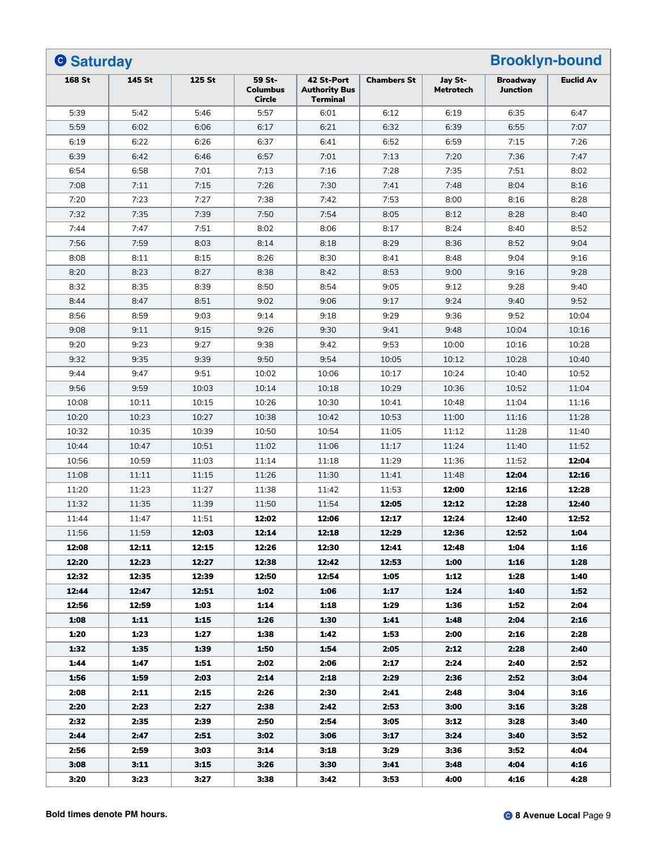| <b>O</b> Saturday |        |                |                                     |                                                       |                    |                             | <b>Brooklyn-bound</b>              |                  |  |
|-------------------|--------|----------------|-------------------------------------|-------------------------------------------------------|--------------------|-----------------------------|------------------------------------|------------------|--|
| <b>168 St</b>     | 145 St | 125 St         | 59 St-<br><b>Columbus</b><br>Circle | 42 St-Port<br><b>Authority Bus</b><br><b>Terminal</b> | <b>Chambers St</b> | Jay St-<br><b>Metrotech</b> | <b>Broadwav</b><br><b>Junction</b> | <b>Euclid Av</b> |  |
| 5:39              | 5:42   | 5:46           | 5:57                                | 6:01                                                  | 6:12               | 6:19                        | 6:35                               | 6:47             |  |
| 5:59              | 6:02   | 6:06           | 6:17                                | 6:21                                                  | 6:32               | 6:39                        | 6:55                               | 7:07             |  |
| 6:19              | 6:22   | 6:26           | 6:37                                | 6:41                                                  | 6:52               | 6:59                        | 7:15                               | 7:26             |  |
| 6:39              | 6:42   | 6:46           | 6:57                                | 7:01                                                  | 7:13               | 7:20                        | 7:36                               | 7:47             |  |
| 6:54              | 6:58   | 7:01           | 7:13                                | 7:16                                                  | 7:28               | 7:35                        | 7:51                               | 8:02             |  |
| 7:08              | 7:11   | 7:15           | 7:26                                | 7:30                                                  | 7:41               | 7:48                        | 8:04                               | 8:16             |  |
| 7:20              | 7:23   | 7:27           | 7:38                                | 7:42                                                  | 7:53               | 8:00                        | 8:16                               | 8:28             |  |
| 7:32              | 7:35   | 7:39           | 7:50                                | 7:54                                                  | 8:05               | 8:12                        | 8:28                               | 8:40             |  |
| 7:44              | 7:47   | 7:51           | 8:02                                | 8:06                                                  | 8:17               | 8:24                        | 8:40                               | 8:52             |  |
| 7:56              | 7:59   | 8:03           | 8:14                                | 8:18                                                  | 8:29               | 8:36                        | 8:52                               | 9:04             |  |
| 8:08              | 8:11   | 8:15           | 8:26                                | 8:30                                                  | 8:41               | 8:48                        | 9:04                               | 9:16             |  |
| 8:20              | 8:23   | 8:27           | 8:38                                | 8:42                                                  | 8:53               | 9:00                        | 9:16                               | 9:28             |  |
| 8:32              | 8:35   | 8:39           | 8:50                                | 8:54                                                  | 9:05               | 9:12                        | 9:28                               | 9:40             |  |
| 8:44              | 8:47   | 8:51           | 9:02                                | 9:06                                                  | 9:17               | 9:24                        | 9:40                               | 9:52             |  |
| 8:56              | 8:59   | 9:03           | 9:14                                | 9:18                                                  | 9:29               | 9:36                        | 9:52                               | 10:04            |  |
| 9:08              | 9:11   | 9:15           | 9:26                                | 9:30                                                  | 9:41               | 9:48                        | 10:04                              | 10:16            |  |
| 9:20              | 9:23   | 9:27           | 9:38                                | 9:42                                                  | 9:53               | 10:00                       | 10:16                              | 10:28            |  |
| 9:32              | 9:35   | 9:39           | 9:50                                | 9:54                                                  | 10:05              | 10:12                       | 10:28                              | 10:40            |  |
| 9:44              | 9:47   | 9:51           | 10:02                               | 10:06                                                 | 10:17              | 10:24                       | 10:40                              | 10:52            |  |
| 9:56              | 9:59   | 10:03          | 10:14                               | 10:18                                                 | 10:29              | 10:36                       | 10:52                              | 11:04            |  |
| 10:08             | 10:11  | 10:15          | 10:26                               | 10:30                                                 | 10:41              | 10:48                       | 11:04                              | 11:16            |  |
| 10:20             | 10:23  | 10:27          | 10:38                               | 10:42                                                 | 10:53              | 11:00                       | 11:16                              | 11:28            |  |
| 10:32             | 10:35  | 10:39          | 10:50                               | 10:54                                                 | 11:05              | 11:12                       | 11:28                              | 11:40            |  |
| 10:44             | 10:47  | 10:51          | 11:02                               | 11:06                                                 | 11:17              | 11:24                       | 11:40                              | 11:52            |  |
| 10:56             | 10:59  | 11:03          | 11:14                               | 11:18                                                 | 11:29              | 11:36                       | 11:52                              | 12:04            |  |
| 11:08             | 11:11  | 11:15          | 11:26                               | 11:30                                                 | 11:41              | 11:48                       | 12:04                              | 12:16            |  |
| 11:20             | 11:23  | 11:27          | 11:38                               | 11:42                                                 | 11:53              | 12:00                       | 12:16                              | 12:28            |  |
| 11:32             | 11:35  | 11:39          | 11:50                               | 11:54                                                 | 12:05              | 12:12                       | 12:28                              | 12:40            |  |
| 11:44             | 11:47  | 11:51          | 12:02                               | 12:06                                                 | 12:17              | 12:24                       | 12:40                              | 12:52            |  |
|                   |        |                |                                     |                                                       |                    |                             |                                    |                  |  |
| 11:56             | 11:59  | 12:03          | 12:14                               | 12:18                                                 | 12:29              | 12:36                       | 12:52                              | 1:04             |  |
| 12:08<br>12:20    | 12:11  | 12:15          | 12:26<br>12:38                      | 12:30                                                 | 12:41              | 12:48                       | 1:04                               | 1:16             |  |
| 12:32             | 12:23  | 12:27<br>12:39 |                                     | 12:42                                                 | 12:53              | 1:00                        | 1:16                               | 1:28             |  |
|                   | 12:35  |                | 12:50                               | 12:54                                                 | 1:05               | 1:12                        | 1:28                               | 1:40             |  |
| 12:44             | 12:47  | 12:51          | 1:02                                | 1:06                                                  | 1:17               | 1:24                        | 1:40                               | 1:52             |  |
| 12:56             | 12:59  | 1:03           | 1:14                                | 1:18                                                  | 1:29               | 1:36                        | 1:52                               | 2:04             |  |
| 1:08              | 1:11   | 1:15           | 1:26                                | 1:30                                                  | 1:41               | 1:48                        | 2:04                               | 2:16             |  |
| 1:20              | 1:23   | 1:27           | 1:38                                | 1:42                                                  | 1:53               | 2:00                        | 2:16                               | 2:28             |  |
| 1:32              | 1:35   | 1:39           | 1:50                                | 1:54                                                  | 2:05               | 2:12                        | 2:28                               | 2:40             |  |
| 1:44              | 1:47   | 1:51           | 2:02                                | 2:06                                                  | 2:17               | 2:24                        | 2:40                               | 2:52             |  |
| 1:56              | 1:59   | 2:03           | 2:14                                | 2:18                                                  | 2:29               | 2:36                        | 2:52                               | 3:04             |  |
| 2:08              | 2:11   | 2:15           | 2:26                                | 2:30                                                  | 2:41               | 2:48                        | 3:04                               | 3:16             |  |
| 2:20              | 2:23   | 2:27           | 2:38                                | 2:42                                                  | 2:53               | 3:00                        | 3:16                               | 3:28             |  |
| 2:32              | 2:35   | 2:39           | 2:50                                | 2:54                                                  | 3:05               | 3:12                        | 3:28                               | 3:40             |  |
| 2:44              | 2:47   | 2:51           | 3:02                                | 3:06                                                  | 3:17               | 3:24                        | 3:40                               | 3:52             |  |
| 2:56              | 2:59   | 3:03           | 3:14                                | 3:18                                                  | 3:29               | 3:36                        | 3:52                               | 4:04             |  |
| 3:08              | 3:11   | 3:15           | 3:26                                | 3:30                                                  | 3:41               | 3:48                        | 4:04                               | 4:16             |  |
| 3:20              | 3:23   | 3:27           | 3:38                                | 3:42                                                  | 3:53               | 4:00                        | 4:16                               | 4:28             |  |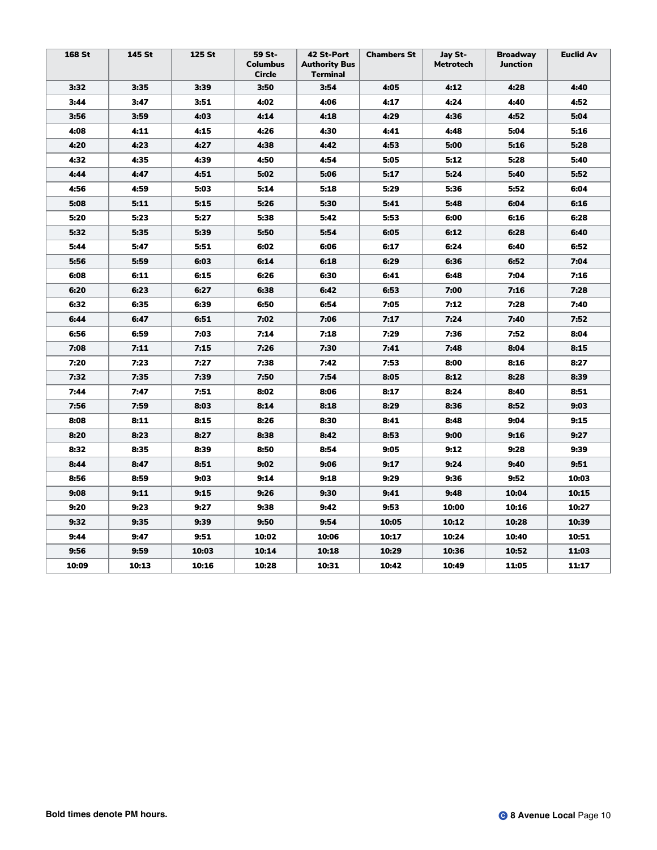| 168 St | 145 St | 125 St | 59 St-<br><b>Columbus</b><br>Circle | 42 St-Port<br><b>Authority Bus</b><br>Terminal | <b>Chambers St</b> | Jay St-<br><b>Metrotech</b> | <b>Broadway</b><br>Junction | <b>Euclid Av</b> |
|--------|--------|--------|-------------------------------------|------------------------------------------------|--------------------|-----------------------------|-----------------------------|------------------|
| 3:32   | 3:35   | 3:39   | 3:50                                | 3:54                                           | 4:05               | 4:12                        | 4:28                        | 4:40             |
| 3:44   | 3:47   | 3:51   | 4:02                                | 4:06                                           | 4:17               | 4:24                        | 4:40                        | 4:52             |
| 3:56   | 3:59   | 4:03   | 4:14                                | 4:18                                           | 4:29               | 4:36                        | 4:52                        | 5:04             |
| 4:08   | 4:11   | 4:15   | 4:26                                | 4:30                                           | 4:41               | 4:48                        | 5:04                        | 5:16             |
| 4:20   | 4:23   | 4:27   | 4:38                                | 4:42                                           | 4:53               | 5:00                        | 5:16                        | 5:28             |
| 4:32   | 4:35   | 4:39   | 4:50                                | 4:54                                           | 5:05               | 5:12                        | 5:28                        | 5:40             |
| 4:44   | 4:47   | 4:51   | 5:02                                | 5:06                                           | 5:17               | 5:24                        | 5:40                        | 5:52             |
| 4:56   | 4:59   | 5:03   | 5:14                                | 5:18                                           | 5:29               | 5:36                        | 5:52                        | 6:04             |
| 5:08   | 5:11   | 5:15   | 5:26                                | 5:30                                           | 5:41               | 5:48                        | 6:04                        | 6:16             |
| 5:20   | 5:23   | 5:27   | 5:38                                | 5:42                                           | 5:53               | 6:00                        | 6:16                        | 6:28             |
| 5:32   | 5:35   | 5:39   | 5:50                                | 5:54                                           | 6:05               | 6:12                        | 6:28                        | 6:40             |
| 5:44   | 5:47   | 5:51   | 6:02                                | 6:06                                           | 6:17               | 6:24                        | 6:40                        | 6:52             |
| 5:56   | 5:59   | 6:03   | 6:14                                | 6:18                                           | 6:29               | 6:36                        | 6:52                        | 7:04             |
| 6:08   | 6:11   | 6:15   | 6:26                                | 6:30                                           | 6:41               | 6:48                        | 7:04                        | 7:16             |
| 6:20   | 6:23   | 6:27   | 6:38                                | 6:42                                           | 6:53               | 7:00                        | 7:16                        | 7:28             |
| 6:32   | 6:35   | 6:39   | 6:50                                | 6:54                                           | 7:05               | 7:12                        | 7:28                        | 7:40             |
| 6:44   | 6:47   | 6:51   | 7:02                                | 7:06                                           | 7:17               | 7:24                        | 7:40                        | 7:52             |
| 6:56   | 6:59   | 7:03   | 7:14                                | 7:18                                           | 7:29               | 7:36                        | 7:52                        | 8:04             |
| 7:08   | 7:11   | 7:15   | 7:26                                | 7:30                                           | 7:41               | 7:48                        | 8:04                        | 8:15             |
| 7:20   | 7:23   | 7:27   | 7:38                                | 7:42                                           | 7:53               | 8:00                        | 8:16                        | 8:27             |
| 7:32   | 7:35   | 7:39   | 7:50                                | 7:54                                           | 8:05               | 8:12                        | 8:28                        | 8:39             |
| 7:44   | 7:47   | 7:51   | 8:02                                | 8:06                                           | 8:17               | 8:24                        | 8:40                        | 8:51             |
| 7:56   | 7:59   | 8:03   | 8:14                                | 8:18                                           | 8:29               | 8:36                        | 8:52                        | 9:03             |
| 8:08   | 8:11   | 8:15   | 8:26                                | 8:30                                           | 8:41               | 8:48                        | 9:04                        | 9:15             |
| 8:20   | 8:23   | 8:27   | 8:38                                | 8:42                                           | 8:53               | 9:00                        | 9:16                        | 9:27             |
| 8:32   | 8:35   | 8:39   | 8:50                                | 8:54                                           | 9:05               | 9:12                        | 9:28                        | 9:39             |
| 8:44   | 8:47   | 8:51   | 9:02                                | 9:06                                           | 9:17               | 9:24                        | 9:40                        | 9:51             |
| 8:56   | 8:59   | 9:03   | 9:14                                | 9:18                                           | 9:29               | 9:36                        | 9:52                        | 10:03            |
| 9:08   | 9:11   | 9:15   | 9:26                                | 9:30                                           | 9:41               | 9:48                        | 10:04                       | 10:15            |
| 9:20   | 9:23   | 9:27   | 9:38                                | 9:42                                           | 9:53               | 10:00                       | 10:16                       | 10:27            |
| 9:32   | 9:35   | 9:39   | 9:50                                | 9:54                                           | 10:05              | 10:12                       | 10:28                       | 10:39            |
| 9:44   | 9:47   | 9:51   | 10:02                               | 10:06                                          | 10:17              | 10:24                       | 10:40                       | 10:51            |
| 9:56   | 9:59   | 10:03  | 10:14                               | 10:18                                          | 10:29              | 10:36                       | 10:52                       | 11:03            |
| 10:09  | 10:13  | 10:16  | 10:28                               | 10:31                                          | 10:42              | 10:49                       | 11:05                       | 11:17            |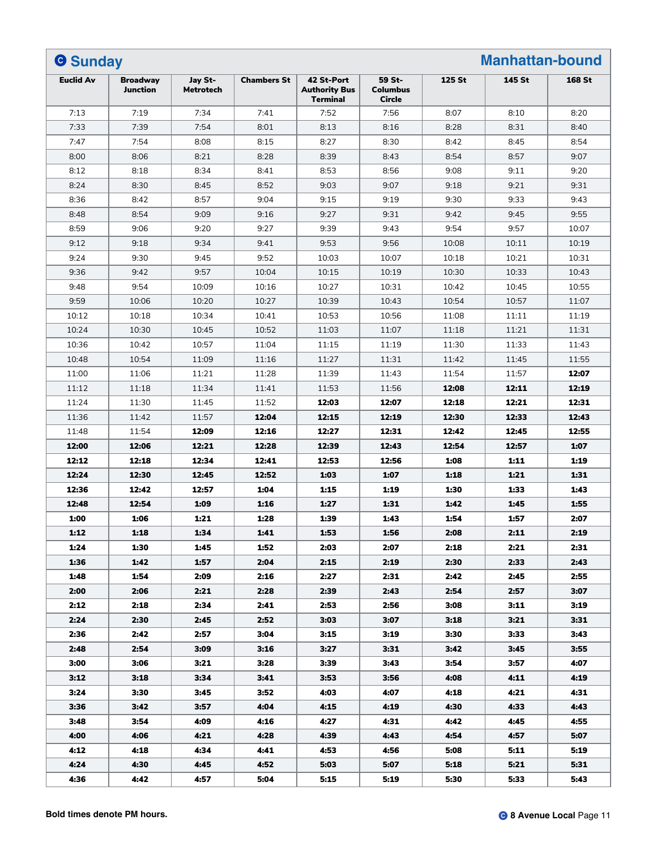| <b>O</b> Sunday  |                             |                             |                    |                                                       |                                     | 125 St |        |               |
|------------------|-----------------------------|-----------------------------|--------------------|-------------------------------------------------------|-------------------------------------|--------|--------|---------------|
| <b>Euclid Av</b> | <b>Broadway</b><br>Junction | Jay St-<br><b>Metrotech</b> | <b>Chambers St</b> | 42 St-Port<br><b>Authority Bus</b><br><b>Terminal</b> | 59 St-<br><b>Columbus</b><br>Circle |        | 145 St | <b>168 St</b> |
| 7:13             | 7:19                        | 7:34                        | 7:41               | 7:52                                                  | 7:56                                | 8:07   | 8:10   | 8:20          |
| 7:33             | 7:39                        | 7:54                        | 8:01               | 8:13                                                  | 8:16                                | 8:28   | 8:31   | 8:40          |
| 7:47             | 7:54                        | 8:08                        | 8:15               | 8:27                                                  | 8:30                                | 8:42   | 8:45   | 8:54          |
| 8:00             | 8:06                        | 8:21                        | 8:28               | 8:39                                                  | 8:43                                | 8:54   | 8:57   | 9:07          |
| 8:12             | 8:18                        | 8:34                        | 8:41               | 8:53                                                  | 8:56                                | 9:08   | 9:11   | 9:20          |
| 8:24             | 8:30                        | 8:45                        | 8:52               | 9:03                                                  | 9:07                                | 9:18   | 9:21   | 9:31          |
| 8:36             | 8:42                        | 8:57                        | 9:04               | 9:15                                                  | 9:19                                | 9:30   | 9:33   | 9:43          |
| 8:48             | 8:54                        | 9:09                        | 9:16               | 9:27                                                  | 9:31                                | 9:42   | 9:45   | 9:55          |
| 8:59             | 9:06                        | 9:20                        | 9:27               | 9:39                                                  | 9:43                                | 9:54   | 9:57   | 10:07         |
| 9:12             | 9:18                        | 9:34                        | 9:41               | 9:53                                                  | 9:56                                | 10:08  | 10:11  | 10:19         |
| 9:24             | 9:30                        | 9:45                        | 9:52               | 10:03                                                 | 10:07                               | 10:18  | 10:21  | 10:31         |
| 9:36             | 9:42                        | 9:57                        | 10:04              | 10:15                                                 | 10:19                               | 10:30  | 10:33  | 10:43         |
| 9:48             | 9:54                        | 10:09                       | 10:16              | 10:27                                                 | 10:31                               | 10:42  | 10:45  | 10:55         |
| 9:59             | 10:06                       | 10:20                       | 10:27              | 10:39                                                 | 10:43                               | 10:54  | 10:57  | 11:07         |
| 10:12            | 10:18                       | 10:34                       | 10:41              | 10:53                                                 | 10:56                               | 11:08  | 11:11  | 11:19         |
| 10:24            | 10:30                       | 10:45                       | 10:52              | 11:03                                                 | 11:07                               | 11:18  | 11:21  | 11:31         |
| 10:36            | 10:42                       | 10:57                       | 11:04              | 11:15                                                 | 11:19                               | 11:30  | 11:33  | 11:43         |
| 10:48            | 10:54                       | 11:09                       | 11:16              | 11:27                                                 | 11:31                               | 11:42  | 11:45  | 11:55         |
| 11:00            | 11:06                       | 11:21                       | 11:28              | 11:39                                                 | 11:43                               | 11:54  | 11:57  | 12:07         |
| 11:12            | 11:18                       | 11:34                       | 11:41              | 11:53                                                 | 11:56                               | 12:08  | 12:11  | 12:19         |
| 11:24            | 11:30                       | 11:45                       | 11:52              | 12:03                                                 | 12:07                               | 12:18  | 12:21  | 12:31         |
| 11:36            | 11:42                       | 11:57                       | 12:04              | 12:15                                                 | 12:19                               | 12:30  | 12:33  | 12:43         |
| 11:48            | 11:54                       | 12:09                       | 12:16              | 12:27                                                 | 12:31                               | 12:42  | 12:45  | 12:55         |
| 12:00            | 12:06                       | 12:21                       | 12:28              | 12:39                                                 | 12:43                               | 12:54  | 12:57  | 1:07          |
| 12:12            | 12:18                       | 12:34                       | 12:41              | 12:53                                                 | 12:56                               | 1:08   | 1:11   | 1:19          |
| 12:24            | 12:30                       | 12:45                       | 12:52              | 1:03                                                  | 1:07                                | 1:18   | 1:21   | 1:31          |
| 12:36            | 12:42                       | 12:57                       | 1:04               | 1:15                                                  | 1:19                                | 1:30   | 1:33   | 1:43          |
| 12:48            | 12:54                       | 1:09                        | 1:16               | 1:27                                                  | 1:31                                | 1:42   | 1:45   | 1:55          |
| 1:00             | 1:06                        | 1:21                        | 1:28               | 1:39                                                  | 1:43                                | 1:54   | 1:57   | 2:07          |
| 1:12             | 1:18                        | 1:34                        | 1:41               | 1:53                                                  | 1:56                                | 2:08   | 2:11   | 2:19          |
| 1:24             | 1:30                        | 1:45                        | 1:52               | 2:03                                                  | 2:07                                | 2:18   | 2:21   | 2:31          |
| 1:36             | 1:42                        | 1:57                        | 2:04               | 2:15                                                  | 2:19                                | 2:30   | 2:33   | 2:43          |
| 1:48             | 1:54                        | 2:09                        | 2:16               | 2:27                                                  | 2:31                                | 2:42   | 2:45   | 2:55          |
| 2:00             | 2:06                        | 2:21                        | 2:28               | 2:39                                                  | 2:43                                | 2:54   | 2:57   | 3:07          |
| 2:12             | 2:18                        | 2:34                        | 2:41               | 2:53                                                  | 2:56                                | 3:08   | 3:11   | 3:19          |
| 2:24             | 2:30                        | 2:45                        | 2:52               | 3:03                                                  | 3:07                                | 3:18   | 3:21   | 3:31          |
| 2:36             | 2:42                        | 2:57                        | 3:04               | 3:15                                                  | 3:19                                | 3:30   | 3:33   | 3:43          |
| 2:48             | 2:54                        | 3:09                        | 3:16               | 3:27                                                  | 3:31                                | 3:42   | 3:45   | 3:55          |
| 3:00             | 3:06                        | 3:21                        | 3:28               | 3:39                                                  | 3:43                                | 3:54   | 3:57   | 4:07          |
| 3:12             | 3:18                        | 3:34                        | 3:41               | 3:53                                                  | 3:56                                | 4:08   | 4:11   | 4:19          |
| 3:24             | 3:30                        | 3:45                        | 3:52               | 4:03                                                  | 4:07                                | 4:18   | 4:21   | 4:31          |
| 3:36             | 3:42                        | 3:57                        | 4:04               | 4:15                                                  | 4:19                                | 4:30   | 4:33   | 4:43          |
| 3:48             | 3:54                        | 4:09                        | 4:16               | 4:27                                                  | 4:31                                | 4:42   | 4:45   | 4:55          |
| 4:00             | 4:06                        | 4:21                        | 4:28               | 4:39                                                  | 4:43                                | 4:54   | 4:57   | 5:07          |
| 4:12             | 4:18                        | 4:34                        | 4:41               | 4:53                                                  | 4:56                                | 5:08   | 5:11   | 5:19          |
| 4:24             | 4:30                        | 4:45                        | 4:52               | 5:03                                                  | 5:07                                | 5:18   | 5:21   | 5:31          |
| 4:36             | 4:42                        | 4:57                        | 5:04               | 5:15                                                  | 5:19                                | 5:30   | 5:33   | 5:43          |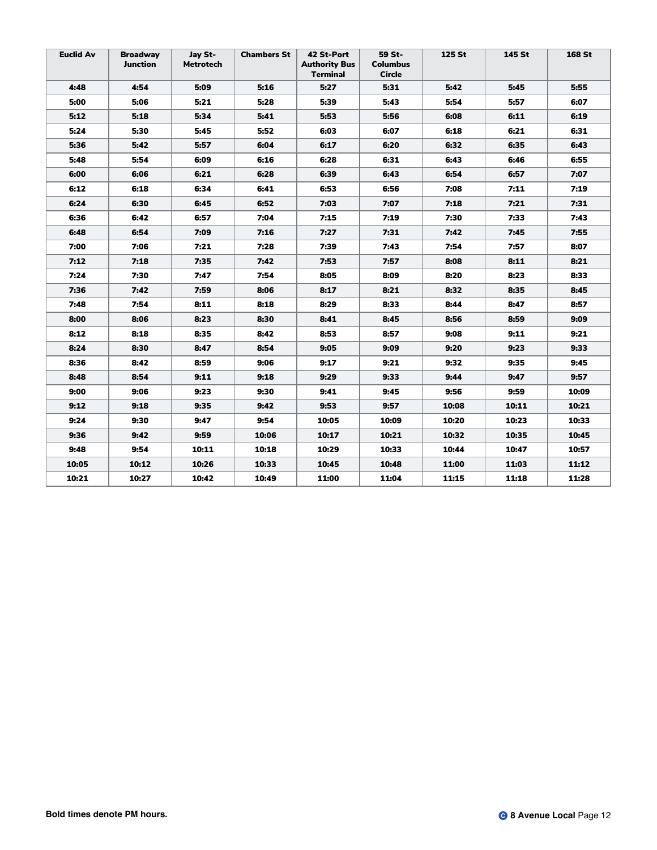| <b>Euclid Av</b> | <b>Broadway</b><br><b>Junction</b> | Jay St-<br><b>Metrotech</b> | <b>Chambers St</b> | 42 St-Port<br><b>Authority Bus</b><br>Terminal | 59 St-<br><b>Columbus</b><br>Circle | 125 St | 145 St | 168 St |
|------------------|------------------------------------|-----------------------------|--------------------|------------------------------------------------|-------------------------------------|--------|--------|--------|
| 4:48             | 4:54                               | 5:09                        | 5:16               | 5:27                                           | 5:31                                | 5:42   | 5:45   | 5:55   |
| 5:00             | 5:06                               | 5:21                        | 5:28               | 5:39                                           | 5:43                                | 5:54   | 5:57   | 6:07   |
| 5:12             | 5:18                               | 5:34                        | 5:41               | 5:53                                           | 5:56                                | 6:08   | 6:11   | 6:19   |
| 5:24             | 5:30                               | 5:45                        | 5:52               | 6:03                                           | 6:07                                | 6:18   | 6:21   | 6:31   |
| 5:36             | 5:42                               | 5:57                        | 6:04               | 6:17                                           | 6:20                                | 6:32   | 6:35   | 6:43   |
| 5:48             | 5:54                               | 6:09                        | 6:16               | 6:28                                           | 6:31                                | 6:43   | 6:46   | 6:55   |
| 6:00             | 6:06                               | 6:21                        | 6:28               | 6:39                                           | 6:43                                | 6:54   | 6:57   | 7:07   |
| 6:12             | 6:18                               | 6:34                        | 6:41               | 6:53                                           | 6:56                                | 7:08   | 7:11   | 7:19   |
| 6:24             | 6:30                               | 6:45                        | 6:52               | 7:03                                           | 7:07                                | 7:18   | 7:21   | 7:31   |
| 6:36             | 6:42                               | 6:57                        | 7:04               | 7:15                                           | 7:19                                | 7:30   | 7:33   | 7:43   |
| 6:48             | 6:54                               | 7:09                        | 7:16               | 7:27                                           | 7:31                                | 7:42   | 7:45   | 7:55   |
| 7:00             | 7:06                               | 7:21                        | 7:28               | 7:39                                           | 7:43                                | 7:54   | 7:57   | 8:07   |
| 7:12             | 7:18                               | 7:35                        | 7:42               | 7:53                                           | 7:57                                | 8:08   | 8:11   | 8:21   |
| 7:24             | 7:30                               | 7:47                        | 7:54               | 8:05                                           | 8:09                                | 8:20   | 8:23   | 8:33   |
| 7:36             | 7:42                               | 7:59                        | 8:06               | 8:17                                           | 8:21                                | 8:32   | 8:35   | 8:45   |
| 7:48             | 7:54                               | 8:11                        | 8:18               | 8:29                                           | 8:33                                | 8:44   | 8:47   | 8:57   |
| 8:00             | 8:06                               | 8:23                        | 8:30               | 8:41                                           | 8:45                                | 8:56   | 8:59   | 9:09   |
| 8:12             | 8:18                               | 8:35                        | 8:42               | 8:53                                           | 8:57                                | 9:08   | 9:11   | 9:21   |
| 8:24             | 8:30                               | 8:47                        | 8:54               | 9:05                                           | 9:09                                | 9:20   | 9:23   | 9:33   |
| 8:36             | 8:42                               | 8:59                        | 9:06               | 9:17                                           | 9:21                                | 9:32   | 9:35   | 9:45   |
| 8:48             | 8:54                               | 9:11                        | 9:18               | 9:29                                           | 9:33                                | 9:44   | 9:47   | 9:57   |
| 9:00             | 9:06                               | 9:23                        | 9:30               | 9:41                                           | 9:45                                | 9:56   | 9:59   | 10:09  |
| 9:12             | 9:18                               | 9:35                        | 9:42               | 9:53                                           | 9:57                                | 10:08  | 10:11  | 10:21  |
| 9:24             | 9:30                               | 9:47                        | 9:54               | 10:05                                          | 10:09                               | 10:20  | 10:23  | 10:33  |
| 9:36             | 9:42                               | 9:59                        | 10:06              | 10:17                                          | 10:21                               | 10:32  | 10:35  | 10:45  |
| 9:48             | 9:54                               | 10:11                       | 10:18              | 10:29                                          | 10:33                               | 10:44  | 10:47  | 10:57  |
| 10:05            | 10:12                              | 10:26                       | 10:33              | 10:45                                          | 10:48                               | 11:00  | 11:03  | 11:12  |
| 10:21            | 10:27                              | 10:42                       | 10:49              | 11:00                                          | 11:04                               | 11:15  | 11:18  | 11:28  |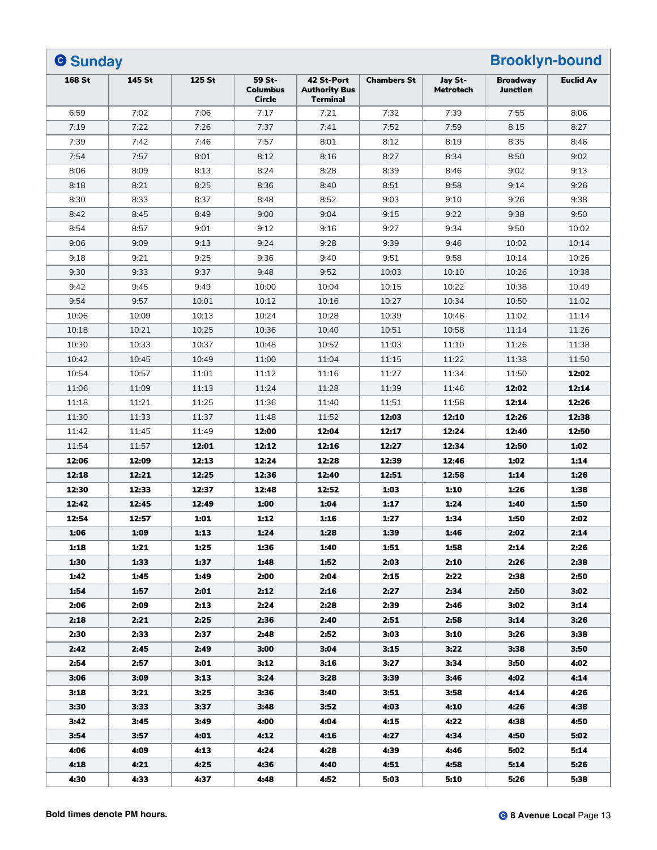| <b>Brooklyn-bound</b><br><b>O</b> Sunday |              |              |                                     |                                                       |                    |                             |                                    |                  |
|------------------------------------------|--------------|--------------|-------------------------------------|-------------------------------------------------------|--------------------|-----------------------------|------------------------------------|------------------|
| <b>168 St</b>                            | 145 St       | 125 St       | 59 St-<br><b>Columbus</b><br>Circle | 42 St-Port<br><b>Authority Bus</b><br><b>Terminal</b> | <b>Chambers St</b> | Jay St-<br><b>Metrotech</b> | <b>Broadwav</b><br><b>Junction</b> | <b>Euclid Av</b> |
| 6:59                                     | 7:02         | 7:06         | 7:17                                | 7:21                                                  | 7:32               | 7:39                        | 7:55                               | 8:06             |
| 7:19                                     | 7:22         | 7:26         | 7:37                                | 7:41                                                  | 7:52               | 7:59                        | 8:15                               | 8:27             |
| 7:39                                     | 7:42         | 7:46         | 7:57                                | 8:01                                                  | 8:12               | 8:19                        | 8:35                               | 8:46             |
| 7:54                                     | 7:57         | 8:01         | 8:12                                | 8:16                                                  | 8:27               | 8:34                        | 8:50                               | 9:02             |
| 8:06                                     | 8:09         | 8:13         | 8:24                                | 8:28                                                  | 8:39               | 8:46                        | 9:02                               | 9:13             |
| 8:18                                     | 8:21         | 8:25         | 8:36                                | 8:40                                                  | 8:51               | 8:58                        | 9:14                               | 9:26             |
| 8:30                                     | 8:33         | 8:37         | 8:48                                | 8:52                                                  | 9:03               | 9:10                        | 9:26                               | 9:38             |
| 8:42                                     | 8:45         | 8:49         | 9:00                                | 9:04                                                  | 9:15               | 9:22                        | 9:38                               | 9:50             |
| 8:54                                     | 8:57         | 9:01         | 9:12                                | 9:16                                                  | 9:27               | 9:34                        | 9:50                               | 10:02            |
| 9:06                                     | 9:09         | 9:13         | 9:24                                | 9:28                                                  | 9:39               | 9:46                        | 10:02                              | 10:14            |
| 9:18                                     | 9:21         | 9:25         | 9:36                                | 9:40                                                  | 9:51               | 9:58                        | 10:14                              | 10:26            |
| 9:30                                     | 9:33         | 9:37         | 9:48                                | 9:52                                                  | 10:03              | 10:10                       | 10:26                              | 10:38            |
| 9:42                                     | 9:45         | 9:49         | 10:00                               | 10:04                                                 | 10:15              | 10:22                       | 10:38                              | 10:49            |
| 9:54                                     | 9:57         | 10:01        | 10:12                               | 10:16                                                 | 10:27              | 10:34                       | 10:50                              | 11:02            |
| 10:06                                    | 10:09        | 10:13        | 10:24                               | 10:28                                                 | 10:39              | 10:46                       | 11:02                              | 11:14            |
| 10:18                                    | 10:21        | 10:25        | 10:36                               | 10:40                                                 | 10:51              | 10:58                       | 11:14                              | 11:26            |
| 10:30                                    | 10:33        | 10:37        | 10:48                               | 10:52                                                 | 11:03              | 11:10                       | 11:26                              | 11:38            |
| 10:42                                    | 10:45        | 10:49        | 11:00                               | 11:04                                                 | 11:15              | 11:22                       | 11:38                              | 11:50            |
| 10:54                                    | 10:57        | 11:01        | 11:12                               | 11:16                                                 | 11:27              | 11:34                       | 11:50                              | 12:02            |
| 11:06                                    | 11:09        | 11:13        | 11:24                               | 11:28                                                 | 11:39              | 11:46                       | 12:02                              | 12:14            |
| 11:18                                    | 11:21        | 11:25        | 11:36                               | 11:40                                                 | 11:51              | 11:58                       | 12:14                              | 12:26            |
| 11:30                                    | 11:33        | 11:37        | 11:48                               | 11:52                                                 | 12:03              | 12:10                       | 12:26                              | 12:38            |
| 11:42                                    | 11:45        | 11:49        | 12:00                               | 12:04                                                 | 12:17              | 12:24                       | 12:40                              | 12:50            |
| 11:54                                    | 11:57        | 12:01        | 12:12                               | 12:16                                                 | 12:27              | 12:34                       | 12:50                              | 1:02             |
| 12:06                                    | 12:09        | 12:13        | 12:24                               | 12:28                                                 | 12:39              | 12:46                       | 1:02                               | 1:14             |
| 12:18                                    | 12:21        | 12:25        | 12:36                               | 12:40                                                 | 12:51              | 12:58                       | 1:14                               | 1:26             |
| 12:30                                    | 12:33        | 12:37        | 12:48                               | 12:52                                                 | 1:03               | 1:10                        | 1:26                               | 1:38             |
| 12:42                                    | 12:45        | 12:49        | 1:00                                | 1:04                                                  | 1:17               | 1:24                        | 1:40                               | 1:50             |
| 12:54                                    | 12:57        | 1:01         | 1:12                                | 1:16                                                  | 1:27               | 1:34                        | 1:50                               | 2:02             |
|                                          |              |              |                                     |                                                       |                    |                             |                                    |                  |
| 1:06<br>1:18                             | 1:09<br>1:21 | 1:13<br>1:25 | 1:24<br>1:36                        | 1:28<br>1:40                                          | 1:39<br>1:51       | 1:46<br>1:58                | 2:02<br>2:14                       | 2:14<br>2:26     |
| 1:30                                     | 1:33         | 1:37         | 1:48                                | 1:52                                                  | 2:03               | 2:10                        | 2:26                               | 2:38             |
|                                          |              |              | 2:00                                |                                                       |                    |                             |                                    | 2:50             |
| 1:42                                     | 1:45         | 1:49         |                                     | 2:04                                                  | 2:15               | 2:22                        | 2:38                               |                  |
| 1:54                                     | 1:57         | 2:01         | 2:12                                | 2:16                                                  | 2:27               | 2:34                        | 2:50                               | 3:02             |
| 2:06                                     | 2:09         | 2:13         | 2:24                                | 2:28                                                  | 2:39               | 2:46                        | 3:02                               | 3:14             |
| 2:18                                     | 2:21         | 2:25         | 2:36                                | 2:40                                                  | 2:51               | 2:58                        | 3:14                               | 3:26             |
| 2:30                                     | 2:33         | 2:37         | 2:48                                | 2:52                                                  | 3:03               | 3:10                        | 3:26                               | 3:38             |
| 2:42                                     | 2:45         | 2:49         | 3:00                                | 3:04                                                  | 3:15               | 3:22                        | 3:38                               | 3:50             |
| 2:54                                     | 2:57         | 3:01         | 3:12                                | 3:16                                                  | 3:27               | 3:34                        | 3:50                               | 4:02             |
| 3:06                                     | 3:09         | 3:13         | 3:24                                | 3:28                                                  | 3:39               | 3:46                        | 4:02                               | 4:14             |
| 3:18                                     | 3:21         | 3:25         | 3:36                                | 3:40                                                  | 3:51               | 3:58                        | 4:14                               | 4:26             |
| 3:30                                     | 3:33         | 3:37         | 3:48                                | 3:52                                                  | 4:03               | 4:10                        | 4:26                               | 4:38             |
| 3:42                                     | 3:45         | 3:49         | 4:00                                | 4:04                                                  | 4:15               | 4:22                        | 4:38                               | 4:50             |
| 3:54                                     | 3:57         | 4:01         | 4:12                                | 4:16                                                  | 4:27               | 4:34                        | 4:50                               | 5:02             |
| 4:06                                     | 4:09         | 4:13         | 4:24                                | 4:28                                                  | 4:39               | 4:46                        | 5:02                               | 5:14             |
| 4:18                                     | 4:21         | 4:25         | 4:36                                | 4:40                                                  | 4:51               | 4:58                        | 5:14                               | 5:26             |
| 4:30                                     | 4:33         | 4:37         | 4:48                                | 4:52                                                  | 5:03               | 5:10                        | 5:26                               | 5:38             |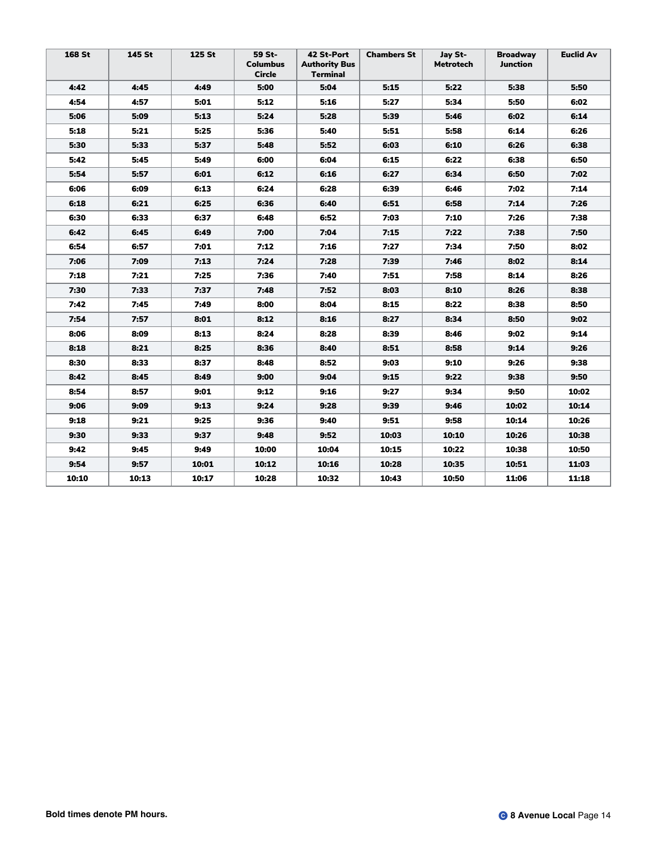| <b>168 St</b> | 145 St | 125 St | 59 St-<br><b>Columbus</b><br><b>Circle</b> | 42 St-Port<br><b>Authority Bus</b><br>Terminal | <b>Chambers St</b> | Jay St-<br>Metrotech | <b>Broadway</b><br>Junction | <b>Euclid Av</b> |
|---------------|--------|--------|--------------------------------------------|------------------------------------------------|--------------------|----------------------|-----------------------------|------------------|
| 4:42          | 4:45   | 4:49   | 5:00                                       | 5:04                                           | 5:15               | 5:22                 | 5:38                        | 5:50             |
| 4:54          | 4:57   | 5:01   | 5:12                                       | 5:16                                           | 5:27               | 5:34                 | 5:50                        | 6:02             |
| 5:06          | 5:09   | 5:13   | 5:24                                       | 5:28                                           | 5:39               | 5:46                 | 6:02                        | 6:14             |
| 5:18          | 5:21   | 5:25   | 5:36                                       | 5:40                                           | 5:51               | 5:58                 | 6:14                        | 6:26             |
| 5:30          | 5:33   | 5:37   | 5:48                                       | 5:52                                           | 6:03               | 6:10                 | 6:26                        | 6:38             |
| 5:42          | 5:45   | 5:49   | 6:00                                       | 6:04                                           | 6:15               | 6:22                 | 6:38                        | 6:50             |
| 5:54          | 5:57   | 6:01   | 6:12                                       | 6:16                                           | 6:27               | 6:34                 | 6:50                        | 7:02             |
| 6:06          | 6:09   | 6:13   | 6:24                                       | 6:28                                           | 6:39               | 6:46                 | 7:02                        | 7:14             |
| 6:18          | 6:21   | 6:25   | 6:36                                       | 6:40                                           | 6:51               | 6:58                 | 7:14                        | 7:26             |
| 6:30          | 6:33   | 6:37   | 6:48                                       | 6:52                                           | 7:03               | 7:10                 | 7:26                        | 7:38             |
| 6:42          | 6:45   | 6:49   | 7:00                                       | 7:04                                           | 7:15               | 7:22                 | 7:38                        | 7:50             |
| 6:54          | 6:57   | 7:01   | 7:12                                       | 7:16                                           | 7:27               | 7:34                 | 7:50                        | 8:02             |
| 7:06          | 7:09   | 7:13   | 7:24                                       | 7:28                                           | 7:39               | 7:46                 | 8:02                        | 8:14             |
| 7:18          | 7:21   | 7:25   | 7:36                                       | 7:40                                           | 7:51               | 7:58                 | 8:14                        | 8:26             |
| 7:30          | 7:33   | 7:37   | 7:48                                       | 7:52                                           | 8:03               | 8:10                 | 8:26                        | 8:38             |
| 7:42          | 7:45   | 7:49   | 8:00                                       | 8:04                                           | 8:15               | 8:22                 | 8:38                        | 8:50             |
| 7:54          | 7:57   | 8:01   | 8:12                                       | 8:16                                           | 8:27               | 8:34                 | 8:50                        | 9:02             |
| 8:06          | 8:09   | 8:13   | 8:24                                       | 8:28                                           | 8:39               | 8:46                 | 9:02                        | 9:14             |
| 8:18          | 8:21   | 8:25   | 8:36                                       | 8:40                                           | 8:51               | 8:58                 | 9:14                        | 9:26             |
| 8:30          | 8:33   | 8:37   | 8:48                                       | 8:52                                           | 9:03               | 9:10                 | 9:26                        | 9:38             |
| 8:42          | 8:45   | 8:49   | 9:00                                       | 9:04                                           | 9:15               | 9:22                 | 9:38                        | 9:50             |
| 8:54          | 8:57   | 9:01   | 9:12                                       | 9:16                                           | 9:27               | 9:34                 | 9:50                        | 10:02            |
| 9:06          | 9:09   | 9:13   | 9:24                                       | 9:28                                           | 9:39               | 9:46                 | 10:02                       | 10:14            |
| 9:18          | 9:21   | 9:25   | 9:36                                       | 9:40                                           | 9:51               | 9:58                 | 10:14                       | 10:26            |
| 9:30          | 9:33   | 9:37   | 9:48                                       | 9:52                                           | 10:03              | 10:10                | 10:26                       | 10:38            |
| 9:42          | 9:45   | 9:49   | 10:00                                      | 10:04                                          | 10:15              | 10:22                | 10:38                       | 10:50            |
| 9:54          | 9:57   | 10:01  | 10:12                                      | 10:16                                          | 10:28              | 10:35                | 10:51                       | 11:03            |
| 10:10         | 10:13  | 10:17  | 10:28                                      | 10:32                                          | 10:43              | 10:50                | 11:06                       | 11:18            |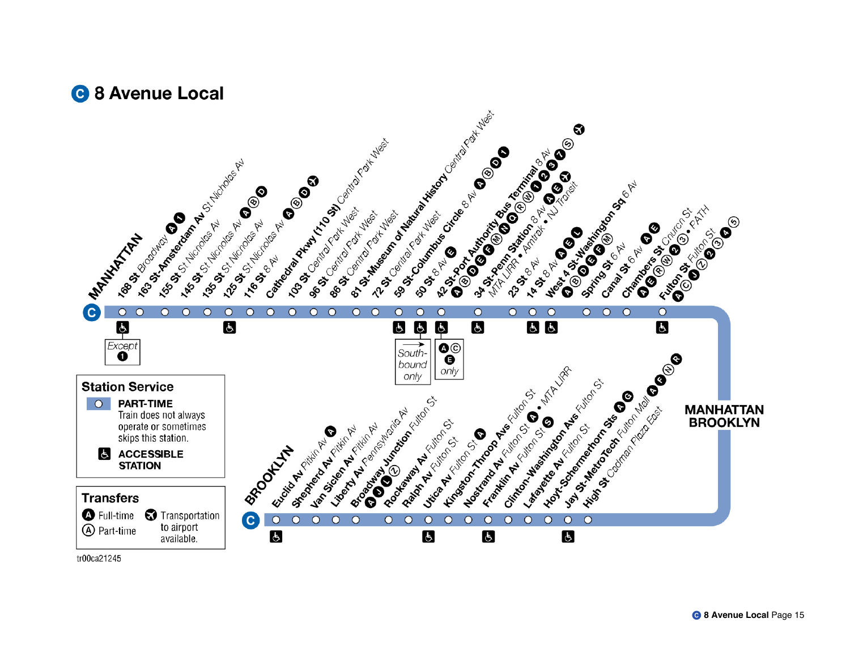



tr00ca21245